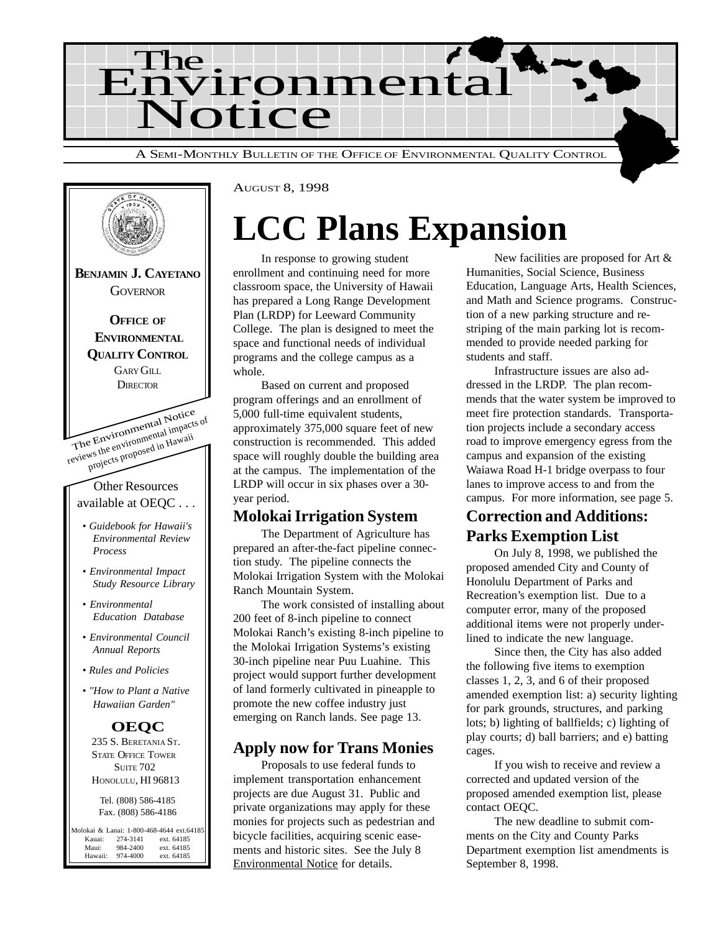



AUGUST 8, 1998

## **LCC Plans Expansion**

In response to growing student enrollment and continuing need for more classroom space, the University of Hawaii has prepared a Long Range Development Plan (LRDP) for Leeward Community College. The plan is designed to meet the space and functional needs of individual programs and the college campus as a whole.

Based on current and proposed program offerings and an enrollment of 5,000 full-time equivalent students, approximately 375,000 square feet of new construction is recommended. This added space will roughly double the building area at the campus. The implementation of the LRDP will occur in six phases over a 30 year period.

### **Molokai Irrigation System**

The Department of Agriculture has prepared an after-the-fact pipeline connection study. The pipeline connects the Molokai Irrigation System with the Molokai Ranch Mountain System.

The work consisted of installing about 200 feet of 8-inch pipeline to connect Molokai Ranch's existing 8-inch pipeline to the Molokai Irrigation Systems's existing 30-inch pipeline near Puu Luahine. This project would support further development of land formerly cultivated in pineapple to promote the new coffee industry just emerging on Ranch lands. See page 13.

### **Apply now for Trans Monies**

Proposals to use federal funds to implement transportation enhancement projects are due August 31. Public and private organizations may apply for these monies for projects such as pedestrian and bicycle facilities, acquiring scenic easements and historic sites. See the July 8 Environmental Notice for details.

New facilities are proposed for Art & Humanities, Social Science, Business Education, Language Arts, Health Sciences, and Math and Science programs. Construction of a new parking structure and restriping of the main parking lot is recommended to provide needed parking for students and staff.

Infrastructure issues are also addressed in the LRDP. The plan recommends that the water system be improved to meet fire protection standards. Transportation projects include a secondary access road to improve emergency egress from the campus and expansion of the existing Waiawa Road H-1 bridge overpass to four lanes to improve access to and from the campus. For more information, see page 5.

### **Correction and Additions: Parks Exemption List**

On July 8, 1998, we published the proposed amended City and County of Honolulu Department of Parks and Recreation's exemption list. Due to a computer error, many of the proposed additional items were not properly underlined to indicate the new language.

Since then, the City has also added the following five items to exemption classes 1, 2, 3, and 6 of their proposed amended exemption list: a) security lighting for park grounds, structures, and parking lots; b) lighting of ballfields; c) lighting of play courts; d) ball barriers; and e) batting cages.

If you wish to receive and review a corrected and updated version of the proposed amended exemption list, please contact OEQC.

The new deadline to submit comments on the City and County Parks Department exemption list amendments is September 8, 1998.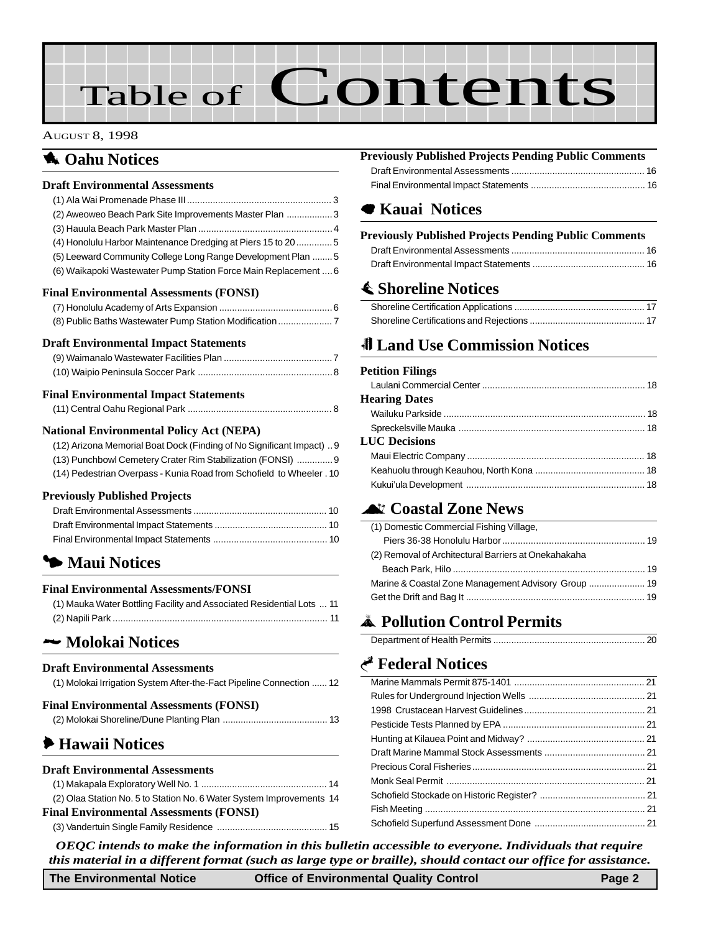# Table of Contents

#### AUGUST 8, 1998

### **1** Oahu Notices

#### **Draft Environmental Assessments**

| (2) Aweoweo Beach Park Site Improvements Master Plan 3          |  |
|-----------------------------------------------------------------|--|
|                                                                 |  |
| (4) Honolulu Harbor Maintenance Dredging at Piers 15 to 20 5    |  |
| (5) Leeward Community College Long Range Development Plan  5    |  |
| (6) Waikapoki Wastewater Pump Station Force Main Replacement  6 |  |
| Final Environmental Assessments (FONSI)                         |  |
|                                                                 |  |
|                                                                 |  |
| <b>Draft Environmental Impact Statements</b>                    |  |
|                                                                 |  |
|                                                                 |  |

#### **Final Environmental Impact Statements**

#### **National Environmental Policy Act (NEPA)**

| (12) Arizona Memorial Boat Dock (Finding of No Significant Impact) 9 |
|----------------------------------------------------------------------|
| (13) Punchbowl Cemetery Crater Rim Stabilization (FONSI)  9          |
| (14) Pedestrian Overpass - Kunia Road from Schofield to Wheeler . 10 |

#### **Previously Published Projects**

### 3 **Maui Notices**

#### **Final Environmental Assessments/FONSI**

| (1) Mauka Water Bottling Facility and Associated Residential Lots  11 |  |
|-----------------------------------------------------------------------|--|
|                                                                       |  |

### 2 **[Molokai Notices](#page-11-0)**

#### **Draft Environmental Assessments**

| (1) Molokai Irrigation System After-the-Fact Pipeline Connection  12 |  |
|----------------------------------------------------------------------|--|
| <b>Final Environmental Assessments (FONSI)</b>                       |  |
|                                                                      |  |

### 6 **Hawaii Notices**

#### **Draft Environmental Assessments**

| (2) Olaa Station No. 5 to Station No. 6 Water System Improvements 14 |  |
|----------------------------------------------------------------------|--|
| <b>Final Environmental Assessments (FONSI)</b>                       |  |
|                                                                      |  |

### **Previously Published Projects Pending Public Comments**

[Draft Environmental Assessments .................................................... 16](#page-15-0) Final Environmental Impact Statements ............................................ 16

### 7 **Kauai Notices**

### **[Previously Published Projects Pending Public Comments](#page-15-0)**

### s **[Shoreline Notices](#page-16-0)**

### 0 **Land Use Commission Notices**

#### **Petition Filings**

| <b>Hearing Dates</b> |  |
|----------------------|--|
|                      |  |
|                      |  |
| <b>LUC Decisions</b> |  |
|                      |  |
|                      |  |
|                      |  |
|                      |  |

### ^ **[Coastal Zone News](#page-18-0)**

| (1) Domestic Commercial Fishing Village,             |  |
|------------------------------------------------------|--|
|                                                      |  |
| (2) Removal of Architectural Barriers at Onekahakaha |  |
|                                                      |  |
|                                                      |  |
|                                                      |  |

### V **[Pollution Control Permits](#page-19-0)**

### G **[Federal Notices](#page-20-0)**

*OEQC intends to make the information in this bulletin accessible to everyone. Individuals that require this material in a different format (such as large type or braille), should contact our office for assistance.*

**The Environmental Notice Office of Environmental Quality Control Page 2**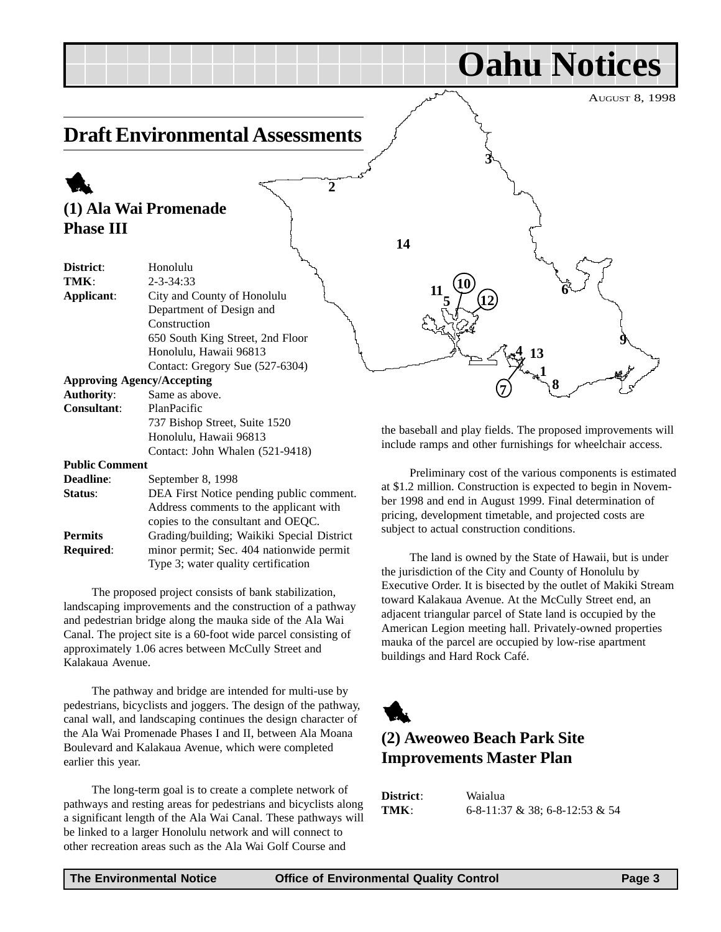<span id="page-2-0"></span>

**Required**: minor permit; Sec. 404 nationwide permit Type 3; water quality certification The proposed project consists of bank stabilization, landscaping improvements and the construction of a pathway and pedestrian bridge along the mauka side of the Ala Wai

Honolulu, Hawaii 96813

**Status:** DEA First Notice pending public comment.

**Permits** Grading/building; Waikiki Special District

**Public Comment**

**Deadline**: September 8, 1998

Contact: John Whalen (521-9418)

Address comments to the applicant with copies to the consultant and OEQC.

Canal. The project site is a 60-foot wide parcel consisting of approximately 1.06 acres between McCully Street and Kalakaua Avenue.

The pathway and bridge are intended for multi-use by pedestrians, bicyclists and joggers. The design of the pathway, canal wall, and landscaping continues the design character of the Ala Wai Promenade Phases I and II, between Ala Moana Boulevard and Kalakaua Avenue, which were completed earlier this year.

The long-term goal is to create a complete network of pathways and resting areas for pedestrians and bicyclists along a significant length of the Ala Wai Canal. These pathways will be linked to a larger Honolulu network and will connect to other recreation areas such as the Ala Wai Golf Course and

the baseball and play fields. The proposed improvements will include ramps and other furnishings for wheelchair access.

Preliminary cost of the various components is estimated at \$1.2 million. Construction is expected to begin in November 1998 and end in August 1999. Final determination of pricing, development timetable, and projected costs are subject to actual construction conditions.

The land is owned by the State of Hawaii, but is under the jurisdiction of the City and County of Honolulu by Executive Order. It is bisected by the outlet of Makiki Stream toward Kalakaua Avenue. At the McCully Street end, an adjacent triangular parcel of State land is occupied by the American Legion meeting hall. Privately-owned properties mauka of the parcel are occupied by low-rise apartment buildings and Hard Rock Café.



### **(2) Aweoweo Beach Park Site Improvements Master Plan**

**District**: Waialua **TMK**: 6-8-11:37 & 38; 6-8-12:53 & 54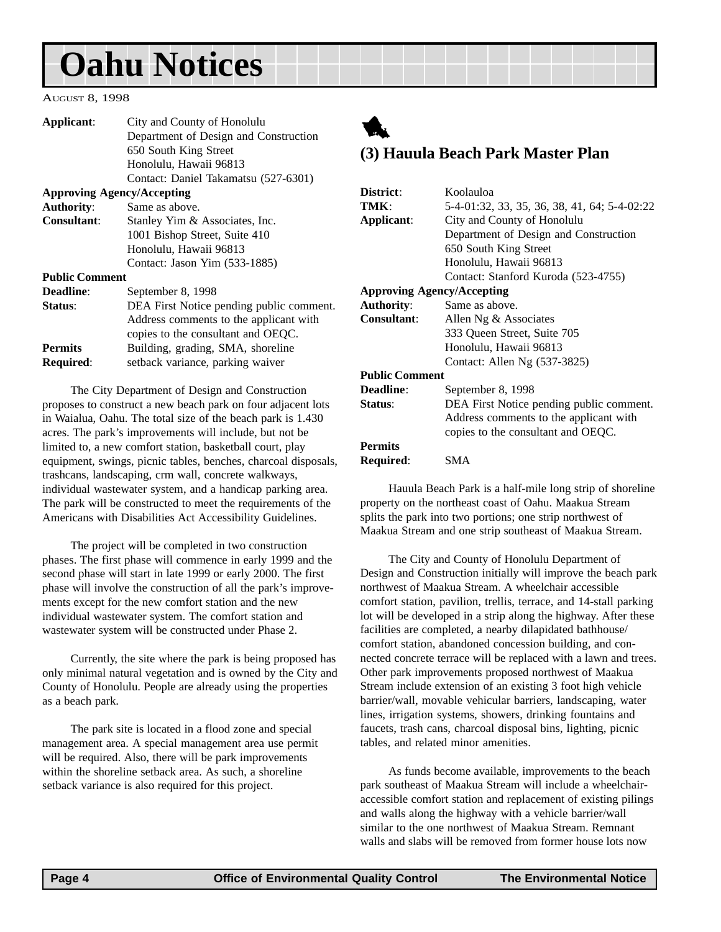#### <span id="page-3-0"></span>AUGUST 8, 1998

| Applicant:                        | City and County of Honolulu              |
|-----------------------------------|------------------------------------------|
|                                   | Department of Design and Construction    |
|                                   | 650 South King Street                    |
|                                   | Honolulu, Hawaii 96813                   |
|                                   | Contact: Daniel Takamatsu (527-6301)     |
| <b>Approving Agency/Accepting</b> |                                          |
| <b>Authority:</b>                 | Same as above.                           |
| <b>Consultant:</b>                | Stanley Yim & Associates, Inc.           |
|                                   | 1001 Bishop Street, Suite 410            |
|                                   | Honolulu, Hawaii 96813                   |
|                                   | Contact: Jason Yim (533-1885)            |
| <b>Public Comment</b>             |                                          |
| Deadline:                         | September 8, 1998                        |
| Status:                           | DEA First Notice pending public comment. |
|                                   | Address comments to the applicant with   |
|                                   | copies to the consultant and OEQC.       |
| <b>Permits</b>                    | Building, grading, SMA, shoreline        |
| <b>Required:</b>                  | setback variance, parking waiver         |
|                                   |                                          |

The City Department of Design and Construction proposes to construct a new beach park on four adjacent lots in Waialua, Oahu. The total size of the beach park is 1.430 acres. The park's improvements will include, but not be limited to, a new comfort station, basketball court, play equipment, swings, picnic tables, benches, charcoal disposals, trashcans, landscaping, crm wall, concrete walkways, individual wastewater system, and a handicap parking area. The park will be constructed to meet the requirements of the Americans with Disabilities Act Accessibility Guidelines.

The project will be completed in two construction phases. The first phase will commence in early 1999 and the second phase will start in late 1999 or early 2000. The first phase will involve the construction of all the park's improvements except for the new comfort station and the new individual wastewater system. The comfort station and wastewater system will be constructed under Phase 2.

Currently, the site where the park is being proposed has only minimal natural vegetation and is owned by the City and County of Honolulu. People are already using the properties as a beach park.

The park site is located in a flood zone and special management area. A special management area use permit will be required. Also, there will be park improvements within the shoreline setback area. As such, a shoreline setback variance is also required for this project.



### **(3) Hauula Beach Park Master Plan**

| District:                         | Koolauloa                                    |
|-----------------------------------|----------------------------------------------|
| TMK:                              | 5-4-01:32, 33, 35, 36, 38, 41, 64; 5-4-02:22 |
|                                   |                                              |
| Applicant:                        | City and County of Honolulu                  |
|                                   | Department of Design and Construction        |
|                                   | 650 South King Street                        |
|                                   | Honolulu, Hawaii 96813                       |
|                                   | Contact: Stanford Kuroda (523-4755)          |
| <b>Approving Agency/Accepting</b> |                                              |
| <b>Authority:</b>                 | Same as above.                               |
| Consultant:                       | Allen Ng & Associates                        |
|                                   | 333 Queen Street, Suite 705                  |
|                                   | Honolulu, Hawaii 96813                       |
|                                   | Contact: Allen Ng (537-3825)                 |
| <b>Public Comment</b>             |                                              |
| <b>Deadline:</b>                  | September 8, 1998                            |
| Status:                           | DEA First Notice pending public comment.     |
|                                   | Address comments to the applicant with       |
|                                   | copies to the consultant and OEQC.           |
| <b>Permits</b>                    |                                              |
| Required:                         | SMA                                          |

Hauula Beach Park is a half-mile long strip of shoreline property on the northeast coast of Oahu. Maakua Stream splits the park into two portions; one strip northwest of Maakua Stream and one strip southeast of Maakua Stream.

The City and County of Honolulu Department of Design and Construction initially will improve the beach park northwest of Maakua Stream. A wheelchair accessible comfort station, pavilion, trellis, terrace, and 14-stall parking lot will be developed in a strip along the highway. After these facilities are completed, a nearby dilapidated bathhouse/ comfort station, abandoned concession building, and connected concrete terrace will be replaced with a lawn and trees. Other park improvements proposed northwest of Maakua Stream include extension of an existing 3 foot high vehicle barrier/wall, movable vehicular barriers, landscaping, water lines, irrigation systems, showers, drinking fountains and faucets, trash cans, charcoal disposal bins, lighting, picnic tables, and related minor amenities.

As funds become available, improvements to the beach park southeast of Maakua Stream will include a wheelchairaccessible comfort station and replacement of existing pilings and walls along the highway with a vehicle barrier/wall similar to the one northwest of Maakua Stream. Remnant walls and slabs will be removed from former house lots now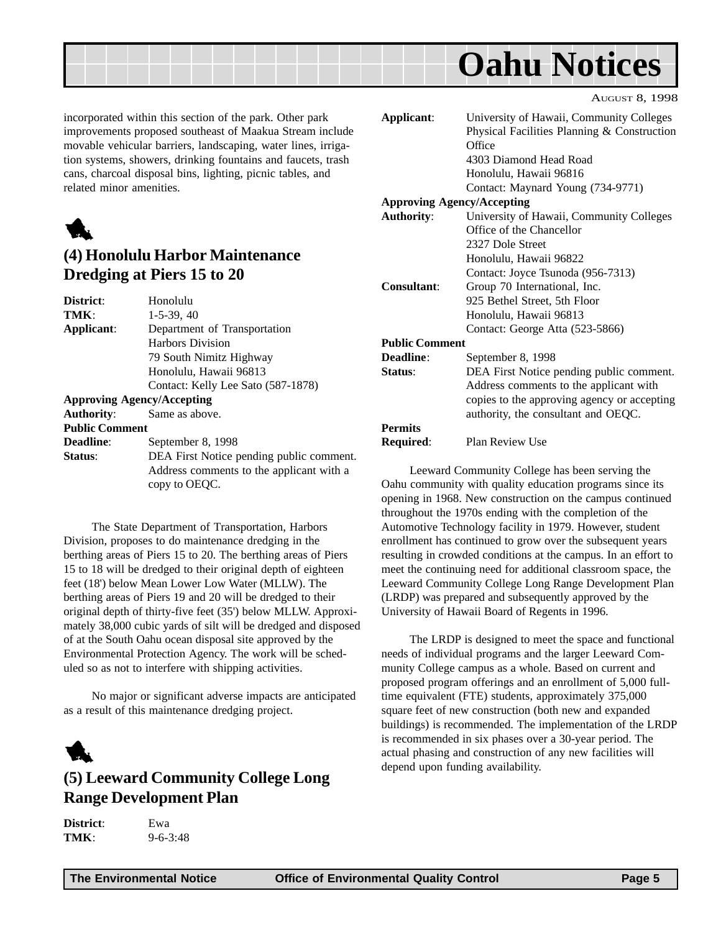<span id="page-4-0"></span>

incorporated within this section of the park. Other park improvements proposed southeast of Maakua Stream include movable vehicular barriers, landscaping, water lines, irrigation systems, showers, drinking fountains and faucets, trash cans, charcoal disposal bins, lighting, picnic tables, and related minor amenities.



### **(4) Honolulu Harbor Maintenance Dredging at Piers 15 to 20**

| District:             | Honolulu                                 |
|-----------------------|------------------------------------------|
| TMK:                  | $1-5-39, 40$                             |
| Applicant:            | Department of Transportation             |
|                       | <b>Harbors Division</b>                  |
|                       | 79 South Nimitz Highway                  |
|                       | Honolulu, Hawaii 96813                   |
|                       | Contact: Kelly Lee Sato (587-1878)       |
|                       | <b>Approving Agency/Accepting</b>        |
| <b>Authority:</b>     | Same as above.                           |
| <b>Public Comment</b> |                                          |
| <b>Deadline:</b>      | September 8, 1998                        |
| Status:               | DEA First Notice pending public comment. |
|                       | Address comments to the applicant with a |
|                       | copy to OEOC.                            |

The State Department of Transportation, Harbors Division, proposes to do maintenance dredging in the berthing areas of Piers 15 to 20. The berthing areas of Piers 15 to 18 will be dredged to their original depth of eighteen feet (18') below Mean Lower Low Water (MLLW). The berthing areas of Piers 19 and 20 will be dredged to their original depth of thirty-five feet (35') below MLLW. Approximately 38,000 cubic yards of silt will be dredged and disposed of at the South Oahu ocean disposal site approved by the Environmental Protection Agency. The work will be scheduled so as not to interfere with shipping activities.

No major or significant adverse impacts are anticipated as a result of this maintenance dredging project.

### 1

### **(5) Leeward Community College Long Range Development Plan**

**District**: Ewa **TMK**: 9-6-3:48 AUGUST 8, 1998

| Applicant:                        | University of Hawaii, Community Colleges    |
|-----------------------------------|---------------------------------------------|
|                                   | Physical Facilities Planning & Construction |
|                                   | Office                                      |
|                                   | 4303 Diamond Head Road                      |
|                                   | Honolulu, Hawaii 96816                      |
|                                   | Contact: Maynard Young (734-9771)           |
| <b>Approving Agency/Accepting</b> |                                             |
| <b>Authority:</b>                 | University of Hawaii, Community Colleges    |
|                                   | Office of the Chancellor                    |
|                                   | 2327 Dole Street                            |
|                                   | Honolulu, Hawaii 96822                      |
|                                   | Contact: Joyce Tsunoda (956-7313)           |
| Consultant:                       | Group 70 International, Inc.                |
|                                   | 925 Bethel Street, 5th Floor                |
|                                   | Honolulu, Hawaii 96813                      |
|                                   | Contact: George Atta (523-5866)             |
| <b>Public Comment</b>             |                                             |
| Deadline:                         | September 8, 1998                           |
| Status:                           | DEA First Notice pending public comment.    |
|                                   | Address comments to the applicant with      |
|                                   | copies to the approving agency or accepting |
|                                   | authority, the consultant and OEQC.         |
| <b>Permits</b>                    |                                             |
| Required:                         | Plan Review Use                             |
|                                   |                                             |

Leeward Community College has been serving the Oahu community with quality education programs since its opening in 1968. New construction on the campus continued throughout the 1970s ending with the completion of the Automotive Technology facility in 1979. However, student enrollment has continued to grow over the subsequent years resulting in crowded conditions at the campus. In an effort to meet the continuing need for additional classroom space, the Leeward Community College Long Range Development Plan (LRDP) was prepared and subsequently approved by the University of Hawaii Board of Regents in 1996.

The LRDP is designed to meet the space and functional needs of individual programs and the larger Leeward Community College campus as a whole. Based on current and proposed program offerings and an enrollment of 5,000 fulltime equivalent (FTE) students, approximately 375,000 square feet of new construction (both new and expanded buildings) is recommended. The implementation of the LRDP is recommended in six phases over a 30-year period. The actual phasing and construction of any new facilities will depend upon funding availability.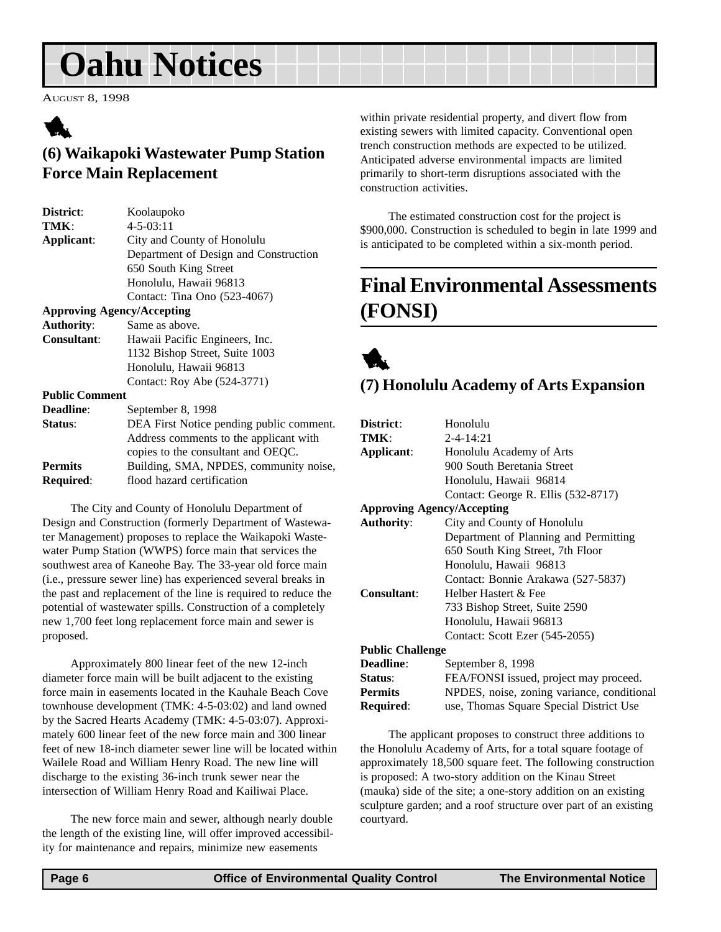<span id="page-5-0"></span>AUGUST 8, 1998



### **(6) Waikapoki Wastewater Pump Station Force Main Replacement**

| District:             | Koolaupoko                               |
|-----------------------|------------------------------------------|
| TMK:                  | $4 - 5 - 03:11$                          |
| Applicant:            | City and County of Honolulu              |
|                       | Department of Design and Construction    |
|                       | 650 South King Street                    |
|                       | Honolulu, Hawaii 96813                   |
|                       | Contact: Tina Ono (523-4067)             |
|                       | <b>Approving Agency/Accepting</b>        |
| <b>Authority:</b>     | Same as above.                           |
| <b>Consultant:</b>    | Hawaii Pacific Engineers, Inc.           |
|                       | 1132 Bishop Street, Suite 1003           |
|                       | Honolulu, Hawaii 96813                   |
|                       | Contact: Roy Abe (524-3771)              |
| <b>Public Comment</b> |                                          |
| <b>Deadline:</b>      | September 8, 1998                        |
| Status:               | DEA First Notice pending public comment. |
|                       | Address comments to the applicant with   |
|                       | copies to the consultant and OEQC.       |
| <b>Permits</b>        | Building, SMA, NPDES, community noise,   |

The City and County of Honolulu Department of Design and Construction (formerly Department of Wastewater Management) proposes to replace the Waikapoki Wastewater Pump Station (WWPS) force main that services the southwest area of Kaneohe Bay. The 33-year old force main (i.e., pressure sewer line) has experienced several breaks in the past and replacement of the line is required to reduce the potential of wastewater spills. Construction of a completely new 1,700 feet long replacement force main and sewer is proposed.

**Required:** flood hazard certification

Approximately 800 linear feet of the new 12-inch diameter force main will be built adjacent to the existing force main in easements located in the Kauhale Beach Cove townhouse development (TMK: 4-5-03:02) and land owned by the Sacred Hearts Academy (TMK: 4-5-03:07). Approximately 600 linear feet of the new force main and 300 linear feet of new 18-inch diameter sewer line will be located within Wailele Road and William Henry Road. The new line will discharge to the existing 36-inch trunk sewer near the intersection of William Henry Road and Kailiwai Place.

The new force main and sewer, although nearly double the length of the existing line, will offer improved accessibility for maintenance and repairs, minimize new easements

within private residential property, and divert flow from existing sewers with limited capacity. Conventional open trench construction methods are expected to be utilized. Anticipated adverse environmental impacts are limited primarily to short-term disruptions associated with the construction activities.

The estimated construction cost for the project is \$900,000. Construction is scheduled to begin in late 1999 and is anticipated to be completed within a six-month period.

### **Final Environmental Assessments (FONSI)**



### **(7) Honolulu Academy of Arts Expansion**

| District:                         | Honolulu                                   |
|-----------------------------------|--------------------------------------------|
| TMK:                              | $2 - 4 - 14:21$                            |
| Applicant:                        | Honolulu Academy of Arts                   |
|                                   | 900 South Beretania Street                 |
|                                   | Honolulu, Hawaii 96814                     |
|                                   | Contact: George R. Ellis (532-8717)        |
| <b>Approving Agency/Accepting</b> |                                            |
| <b>Authority:</b>                 | City and County of Honolulu                |
|                                   | Department of Planning and Permitting      |
|                                   | 650 South King Street, 7th Floor           |
|                                   | Honolulu, Hawaii 96813                     |
|                                   | Contact: Bonnie Arakawa (527-5837)         |
| <b>Consultant:</b>                | Helber Hastert & Fee                       |
|                                   | 733 Bishop Street, Suite 2590              |
|                                   | Honolulu, Hawaii 96813                     |
|                                   | Contact: Scott Ezer (545-2055)             |
| <b>Public Challenge</b>           |                                            |
| <b>Deadline:</b>                  | September 8, 1998                          |
| Status:                           | FEA/FONSI issued, project may proceed.     |
| <b>Permits</b>                    | NPDES, noise, zoning variance, conditional |
| Required:                         | use, Thomas Square Special District Use    |

The applicant proposes to construct three additions to the Honolulu Academy of Arts, for a total square footage of approximately 18,500 square feet. The following construction is proposed: A two-story addition on the Kinau Street (mauka) side of the site; a one-story addition on an existing sculpture garden; and a roof structure over part of an existing courtyard.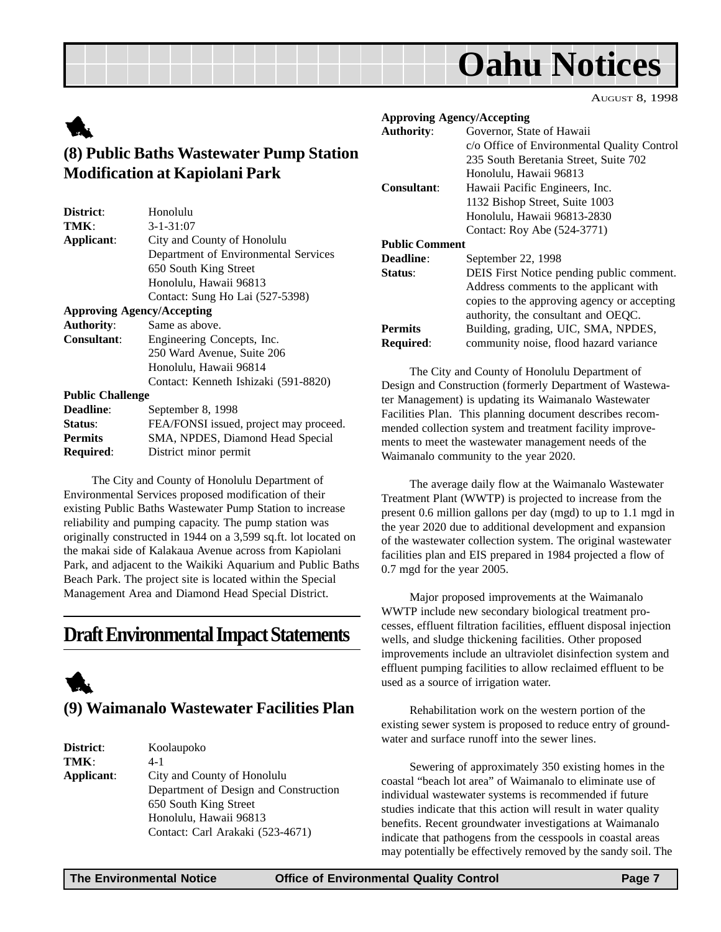AUGUST 8, 1998

### <span id="page-6-0"></span>1 **(8) Public Baths Wastewater Pump Station Modification at Kapiolani Park**

| District:               | Honolulu                               |
|-------------------------|----------------------------------------|
| TMK:                    | $3 - 1 - 31:07$                        |
| Applicant:              | City and County of Honolulu            |
|                         | Department of Environmental Services   |
|                         | 650 South King Street                  |
|                         | Honolulu, Hawaii 96813                 |
|                         | Contact: Sung Ho Lai (527-5398)        |
|                         | <b>Approving Agency/Accepting</b>      |
| <b>Authority:</b>       | Same as above.                         |
| <b>Consultant:</b>      | Engineering Concepts, Inc.             |
|                         | 250 Ward Avenue, Suite 206             |
|                         | Honolulu, Hawaii 96814                 |
|                         | Contact: Kenneth Ishizaki (591-8820)   |
| <b>Public Challenge</b> |                                        |
| Deadline:               | September 8, 1998                      |
| Status:                 | FEA/FONSI issued, project may proceed. |
| <b>Permits</b>          | SMA, NPDES, Diamond Head Special       |
| <b>Required:</b>        | District minor permit                  |

The City and County of Honolulu Department of Environmental Services proposed modification of their existing Public Baths Wastewater Pump Station to increase reliability and pumping capacity. The pump station was originally constructed in 1944 on a 3,599 sq.ft. lot located on the makai side of Kalakaua Avenue across from Kapiolani Park, and adjacent to the Waikiki Aquarium and Public Baths Beach Park. The project site is located within the Special Management Area and Diamond Head Special District.

### **Draft Environmental Impact Statements**



### **(9) Waimanalo Wastewater Facilities Plan**

| District:  | Koolaupoko                            |
|------------|---------------------------------------|
| TMK:       | $4 - 1$                               |
| Applicant: | City and County of Honolulu           |
|            | Department of Design and Construction |
|            | 650 South King Street                 |
|            | Honolulu, Hawaii 96813                |
|            | Contact: Carl Arakaki (523-4671)      |
|            |                                       |

| <b>Approving Agency/Accepting</b> |                                             |
|-----------------------------------|---------------------------------------------|
| <b>Authority:</b>                 | Governor, State of Hawaii                   |
|                                   | c/o Office of Environmental Quality Control |
|                                   | 235 South Beretania Street, Suite 702       |
|                                   | Honolulu, Hawaii 96813                      |
| Consultant:                       | Hawaii Pacific Engineers, Inc.              |
|                                   | 1132 Bishop Street, Suite 1003              |
|                                   | Honolulu, Hawaii 96813-2830                 |
|                                   | Contact: Roy Abe (524-3771)                 |
| <b>Public Comment</b>             |                                             |
| Deadline:                         | September 22, 1998                          |
| Status:                           | DEIS First Notice pending public comment.   |
|                                   | Address comments to the applicant with      |
|                                   | copies to the approving agency or accepting |
|                                   | authority, the consultant and OEOC.         |
| <b>Permits</b>                    | Building, grading, UIC, SMA, NPDES,         |
| Required:                         | community noise, flood hazard variance      |

The City and County of Honolulu Department of Design and Construction (formerly Department of Wastewater Management) is updating its Waimanalo Wastewater Facilities Plan. This planning document describes recommended collection system and treatment facility improvements to meet the wastewater management needs of the Waimanalo community to the year 2020.

The average daily flow at the Waimanalo Wastewater Treatment Plant (WWTP) is projected to increase from the present 0.6 million gallons per day (mgd) to up to 1.1 mgd in the year 2020 due to additional development and expansion of the wastewater collection system. The original wastewater facilities plan and EIS prepared in 1984 projected a flow of 0.7 mgd for the year 2005.

Major proposed improvements at the Waimanalo WWTP include new secondary biological treatment processes, effluent filtration facilities, effluent disposal injection wells, and sludge thickening facilities. Other proposed improvements include an ultraviolet disinfection system and effluent pumping facilities to allow reclaimed effluent to be used as a source of irrigation water.

Rehabilitation work on the western portion of the existing sewer system is proposed to reduce entry of groundwater and surface runoff into the sewer lines.

Sewering of approximately 350 existing homes in the coastal "beach lot area" of Waimanalo to eliminate use of individual wastewater systems is recommended if future studies indicate that this action will result in water quality benefits. Recent groundwater investigations at Waimanalo indicate that pathogens from the cesspools in coastal areas may potentially be effectively removed by the sandy soil. The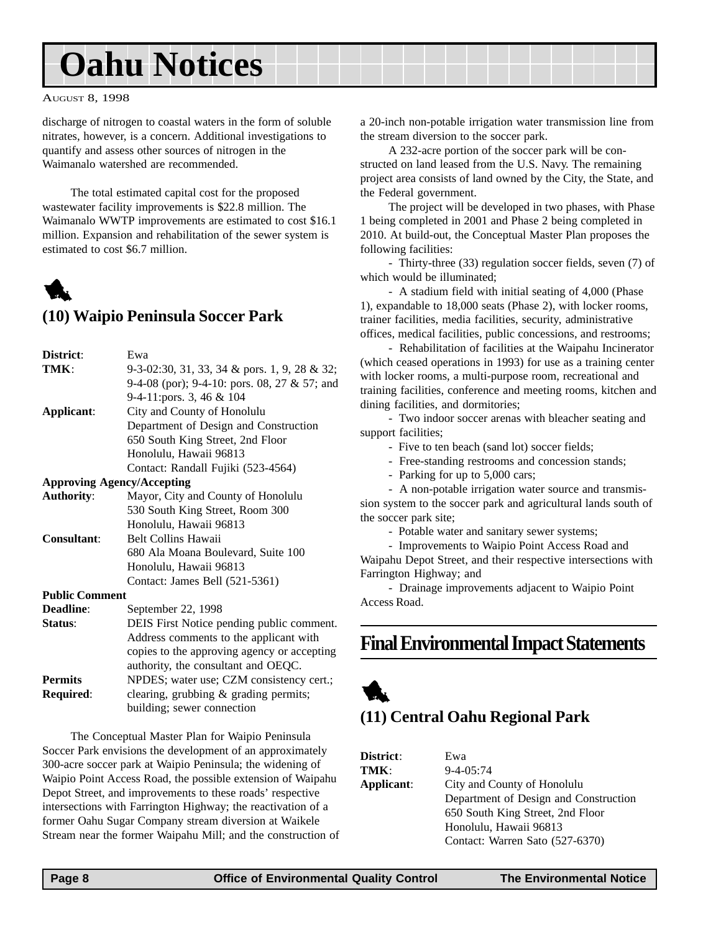#### <span id="page-7-0"></span>AUGUST 8, 1998

discharge of nitrogen to coastal waters in the form of soluble nitrates, however, is a concern. Additional investigations to quantify and assess other sources of nitrogen in the Waimanalo watershed are recommended.

The total estimated capital cost for the proposed wastewater facility improvements is \$22.8 million. The Waimanalo WWTP improvements are estimated to cost \$16.1 million. Expansion and rehabilitation of the sewer system is estimated to cost \$6.7 million.



### **(10) Waipio Peninsula Soccer Park**

| District:             | Ewa                                          |
|-----------------------|----------------------------------------------|
| TMK:                  | 9-3-02:30, 31, 33, 34 & pors. 1, 9, 28 & 32; |
|                       | 9-4-08 (por); 9-4-10: pors. 08, 27 & 57; and |
|                       | 9-4-11:pors. 3, 46 & 104                     |
| Applicant:            | City and County of Honolulu                  |
|                       | Department of Design and Construction        |
|                       | 650 South King Street, 2nd Floor             |
|                       | Honolulu, Hawaii 96813                       |
|                       | Contact: Randall Fujiki (523-4564)           |
|                       | <b>Approving Agency/Accepting</b>            |
| <b>Authority:</b>     | Mayor, City and County of Honolulu           |
|                       | 530 South King Street, Room 300              |
|                       | Honolulu, Hawaii 96813                       |
| Consultant:           | <b>Belt Collins Hawaii</b>                   |
|                       | 680 Ala Moana Boulevard, Suite 100           |
|                       | Honolulu, Hawaii 96813                       |
|                       | Contact: James Bell (521-5361)               |
| <b>Public Comment</b> |                                              |
| Deadline:             | September 22, 1998                           |
| Status:               | DEIS First Notice pending public comment.    |
|                       | Address comments to the applicant with       |
|                       | copies to the approving agency or accepting  |
|                       | authority, the consultant and OEQC.          |
| <b>Permits</b>        | NPDES; water use; CZM consistency cert.;     |
| Required:             | clearing, grubbing & grading permits;        |
|                       | building; sewer connection                   |

The Conceptual Master Plan for Waipio Peninsula Soccer Park envisions the development of an approximately 300-acre soccer park at Waipio Peninsula; the widening of Waipio Point Access Road, the possible extension of Waipahu Depot Street, and improvements to these roads' respective intersections with Farrington Highway; the reactivation of a former Oahu Sugar Company stream diversion at Waikele Stream near the former Waipahu Mill; and the construction of a 20-inch non-potable irrigation water transmission line from the stream diversion to the soccer park.

A 232-acre portion of the soccer park will be constructed on land leased from the U.S. Navy. The remaining project area consists of land owned by the City, the State, and the Federal government.

The project will be developed in two phases, with Phase 1 being completed in 2001 and Phase 2 being completed in 2010. At build-out, the Conceptual Master Plan proposes the following facilities:

- Thirty-three (33) regulation soccer fields, seven (7) of which would be illuminated;

- A stadium field with initial seating of 4,000 (Phase 1), expandable to 18,000 seats (Phase 2), with locker rooms, trainer facilities, media facilities, security, administrative offices, medical facilities, public concessions, and restrooms;

- Rehabilitation of facilities at the Waipahu Incinerator (which ceased operations in 1993) for use as a training center with locker rooms, a multi-purpose room, recreational and training facilities, conference and meeting rooms, kitchen and dining facilities, and dormitories;

- Two indoor soccer arenas with bleacher seating and support facilities;

- Five to ten beach (sand lot) soccer fields;

- Free-standing restrooms and concession stands;

- Parking for up to 5,000 cars;

- A non-potable irrigation water source and transmission system to the soccer park and agricultural lands south of the soccer park site;

- Potable water and sanitary sewer systems;

- Improvements to Waipio Point Access Road and Waipahu Depot Street, and their respective intersections with Farrington Highway; and

- Drainage improvements adjacent to Waipio Point Access Road.

### **Final Environmental Impact Statements**



### **(11) Central Oahu Regional Park**

| <b>District:</b> | Ewa                                   |
|------------------|---------------------------------------|
| TMK:             | $9 - 4 - 05:74$                       |
| Applicant:       | City and County of Honolulu           |
|                  | Department of Design and Construction |
|                  | 650 South King Street, 2nd Floor      |
|                  | Honolulu, Hawaii 96813                |
|                  | Contact: Warren Sato (527-6370)       |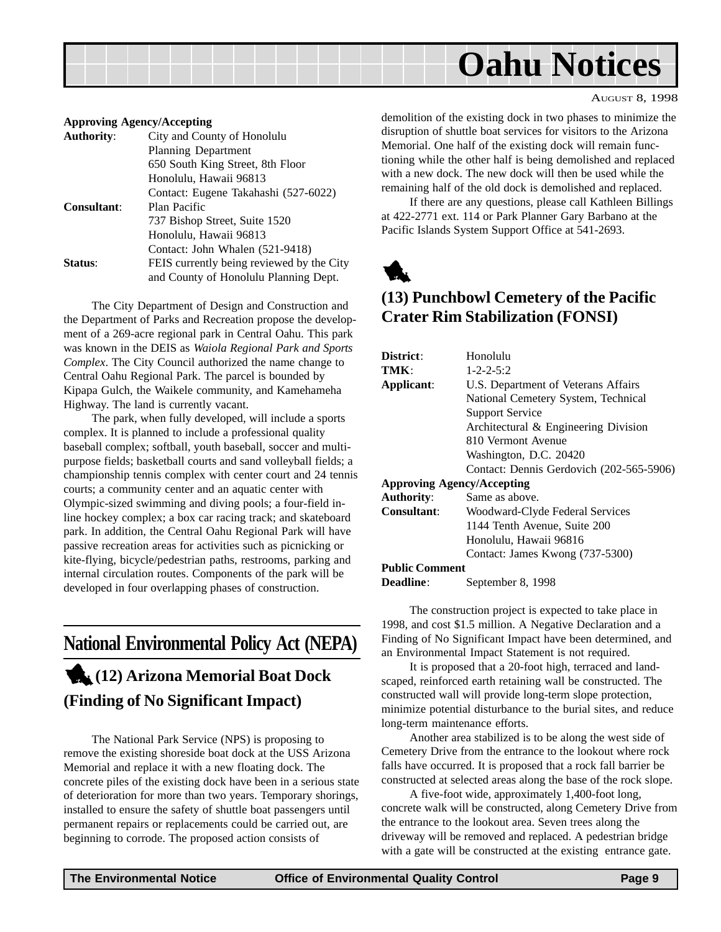<span id="page-8-0"></span>

#### **Approving Agency/Accepting**

|                    | $ \mu$ $\mu$ $\sim$ $\mu$ $\sim$ $\mu$ $\sim$ $\mu$ $\sim$ $\mu$ $\sim$ $\mu$ |
|--------------------|-------------------------------------------------------------------------------|
| <b>Authority:</b>  | City and County of Honolulu                                                   |
|                    | <b>Planning Department</b>                                                    |
|                    | 650 South King Street, 8th Floor                                              |
|                    | Honolulu, Hawaii 96813                                                        |
|                    | Contact: Eugene Takahashi (527-6022)                                          |
| <b>Consultant:</b> | Plan Pacific                                                                  |
|                    | 737 Bishop Street, Suite 1520                                                 |
|                    | Honolulu, Hawaii 96813                                                        |
|                    | Contact: John Whalen (521-9418)                                               |
| Status:            | FEIS currently being reviewed by the City                                     |
|                    | and County of Honolulu Planning Dept.                                         |
|                    |                                                                               |

The City Department of Design and Construction and the Department of Parks and Recreation propose the development of a 269-acre regional park in Central Oahu. This park was known in the DEIS as *Waiola Regional Park and Sports Complex*. The City Council authorized the name change to Central Oahu Regional Park. The parcel is bounded by Kipapa Gulch, the Waikele community, and Kamehameha Highway. The land is currently vacant.

The park, when fully developed, will include a sports complex. It is planned to include a professional quality baseball complex; softball, youth baseball, soccer and multipurpose fields; basketball courts and sand volleyball fields; a championship tennis complex with center court and 24 tennis courts; a community center and an aquatic center with Olympic-sized swimming and diving pools; a four-field inline hockey complex; a box car racing track; and skateboard park. In addition, the Central Oahu Regional Park will have passive recreation areas for activities such as picnicking or kite-flying, bicycle/pedestrian paths, restrooms, parking and internal circulation routes. Components of the park will be developed in four overlapping phases of construction.

### **National Environmental Policy Act (NEPA)** 1**(12) Arizona Memorial Boat Dock**

## **(Finding of No Significant Impact)**

The National Park Service (NPS) is proposing to remove the existing shoreside boat dock at the USS Arizona Memorial and replace it with a new floating dock. The concrete piles of the existing dock have been in a serious state of deterioration for more than two years. Temporary shorings, installed to ensure the safety of shuttle boat passengers until permanent repairs or replacements could be carried out, are beginning to corrode. The proposed action consists of

demolition of the existing dock in two phases to minimize the disruption of shuttle boat services for visitors to the Arizona Memorial. One half of the existing dock will remain functioning while the other half is being demolished and replaced with a new dock. The new dock will then be used while the remaining half of the old dock is demolished and replaced.

AUGUST 8, 1998

If there are any questions, please call Kathleen Billings at 422-2771 ext. 114 or Park Planner Gary Barbano at the Pacific Islands System Support Office at 541-2693.



### **(13) Punchbowl Cemetery of the Pacific Crater Rim Stabilization (FONSI)**

| District:                         | Honolulu                                 |
|-----------------------------------|------------------------------------------|
| TMK:                              | $1 - 2 - 2 - 5:2$                        |
| Applicant:                        | U.S. Department of Veterans Affairs      |
|                                   | National Cemetery System, Technical      |
|                                   | <b>Support Service</b>                   |
|                                   | Architectural & Engineering Division     |
|                                   | 810 Vermont Avenue                       |
|                                   | Washington, D.C. 20420                   |
|                                   | Contact: Dennis Gerdovich (202-565-5906) |
| <b>Approving Agency/Accepting</b> |                                          |
| Authority:                        | Same as above.                           |
| <b>Consultant:</b>                | Woodward-Clyde Federal Services          |
|                                   | 1144 Tenth Avenue, Suite 200             |
|                                   | Honolulu, Hawaii 96816                   |
|                                   | Contact: James Kwong (737-5300)          |
| <b>Public Comment</b>             |                                          |
| <b>Deadline:</b>                  | September 8, 1998                        |

The construction project is expected to take place in 1998, and cost \$1.5 million. A Negative Declaration and a Finding of No Significant Impact have been determined, and an Environmental Impact Statement is not required.

It is proposed that a 20-foot high, terraced and landscaped, reinforced earth retaining wall be constructed. The constructed wall will provide long-term slope protection, minimize potential disturbance to the burial sites, and reduce long-term maintenance efforts.

Another area stabilized is to be along the west side of Cemetery Drive from the entrance to the lookout where rock falls have occurred. It is proposed that a rock fall barrier be constructed at selected areas along the base of the rock slope.

A five-foot wide, approximately 1,400-foot long, concrete walk will be constructed, along Cemetery Drive from the entrance to the lookout area. Seven trees along the driveway will be removed and replaced. A pedestrian bridge with a gate will be constructed at the existing entrance gate.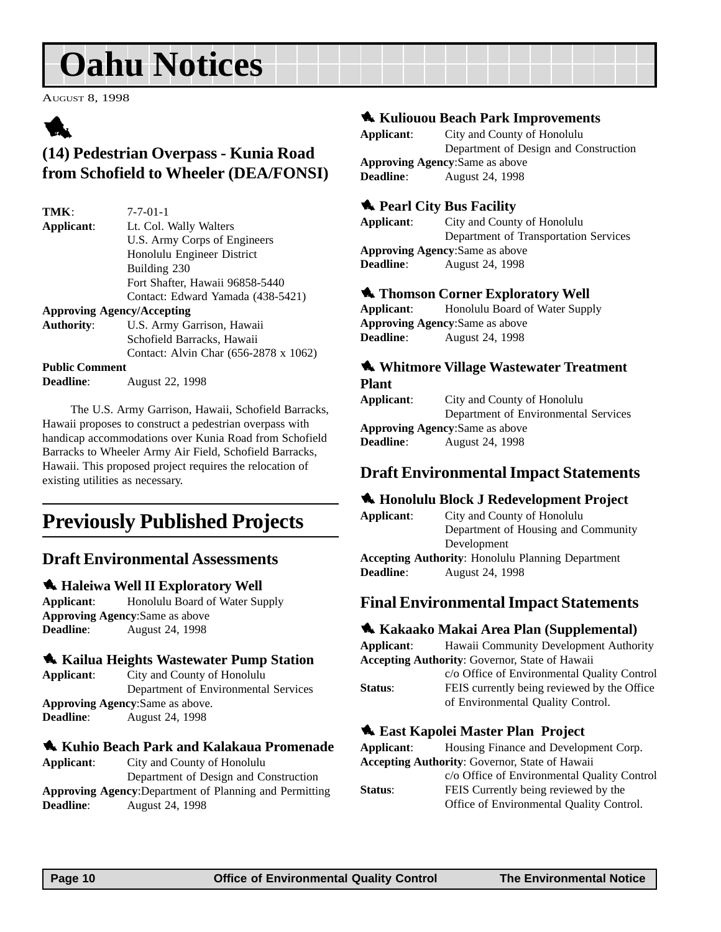<span id="page-9-0"></span>AUGUST 8, 1998

### 1

### **(14) Pedestrian Overpass - Kunia Road from Schofield to Wheeler (DEA/FONSI)**

| TMK:                              | $7 - 7 - 01 - 1$                      |
|-----------------------------------|---------------------------------------|
| Applicant:                        | Lt. Col. Wally Walters                |
|                                   | U.S. Army Corps of Engineers          |
|                                   | Honolulu Engineer District            |
|                                   | Building 230                          |
|                                   | Fort Shafter, Hawaii 96858-5440       |
|                                   | Contact: Edward Yamada (438-5421)     |
| <b>Approving Agency/Accepting</b> |                                       |
| <b>Authority:</b>                 | U.S. Army Garrison, Hawaii            |
|                                   | Schofield Barracks, Hawaii            |
|                                   | Contact: Alvin Char (656-2878 x 1062) |
| <b>Public Comment</b>             |                                       |

**Deadline**: August 22, 1998

The U.S. Army Garrison, Hawaii, Schofield Barracks, Hawaii proposes to construct a pedestrian overpass with handicap accommodations over Kunia Road from Schofield Barracks to Wheeler Army Air Field, Schofield Barracks, Hawaii. This proposed project requires the relocation of existing utilities as necessary.

### **Previously Published Projects**

### **Draft Environmental Assessments**

### **1. Haleiwa Well II Exploratory Well**

**Applicant**: Honolulu Board of Water Supply **Approving Agency**:Same as above **Deadline**: August 24, 1998

### 1 **Kailua Heights Wastewater Pump Station**

**Applicant**: City and County of Honolulu Department of Environmental Services **Approving Agency**:Same as above. **Deadline**: August 24, 1998

### 1 **Kuhio Beach Park and Kalakaua Promenade**

**Applicant**: City and County of Honolulu Department of Design and Construction **Approving Agency**:Department of Planning and Permitting **Deadline**: August 24, 1998

### $\triangle$  **Kuliouou Beach Park Improvements**

| Applicant:                             | City and County of Honolulu           |  |
|----------------------------------------|---------------------------------------|--|
|                                        | Department of Design and Construction |  |
| <b>Approving Agency:</b> Same as above |                                       |  |
| <b>Deadline:</b>                       | <b>August 24, 1998</b>                |  |

### **1** Pearl City Bus Facility

**Applicant**: City and County of Honolulu Department of Transportation Services **Approving Agency**:Same as above **Deadline**: August 24, 1998

#### **1 Thomson Corner Exploratory Well**

**Applicant:** Honolulu Board of Water Supply **Approving Agency**:Same as above **Deadline**: August 24, 1998

### 1 **Whitmore Village Wastewater Treatment Plant**

**Applicant**: City and County of Honolulu Department of Environmental Services **Approving Agency**:Same as above **Deadline**: August 24, 1998

### **Draft Environmental Impact Statements**

### 1 **Honolulu Block J Redevelopment Project**

**Applicant**: City and County of Honolulu Department of Housing and Community Development **Accepting Authority**: Honolulu Planning Department **Deadline**: August 24, 1998

### **Final Environmental Impact Statements**

### 1 **Kakaako Makai Area Plan (Supplemental)**

**Applicant**: Hawaii Community Development Authority **Accepting Authority**: Governor, State of Hawaii c/o Office of Environmental Quality Control **Status:** FEIS currently being reviewed by the Office of Environmental Quality Control.

### **1. East Kapolei Master Plan Project**

| Applicant:                                            | Housing Finance and Development Corp.       |
|-------------------------------------------------------|---------------------------------------------|
| <b>Accepting Authority: Governor, State of Hawaii</b> |                                             |
|                                                       | c/o Office of Environmental Quality Control |
| Status:                                               | FEIS Currently being reviewed by the        |
|                                                       | Office of Environmental Quality Control.    |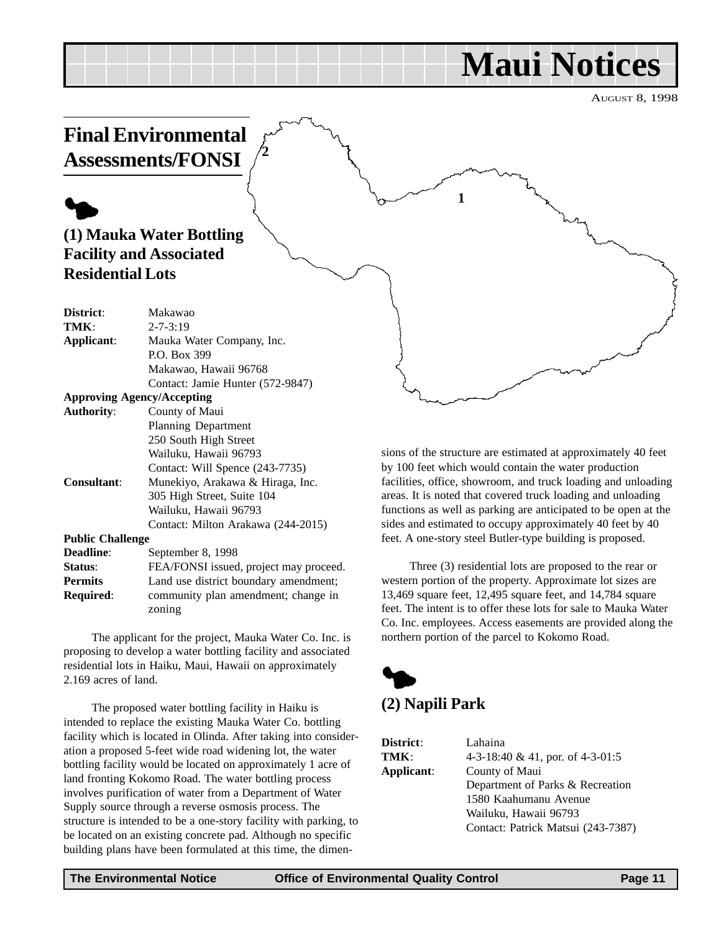## **Maui Notices**

**1**

AUGUST 8, 1998

### <span id="page-10-0"></span>**Final Environmental Assessments/FONSI**

**2**

### $\blacklozenge$ **(1) Mauka Water Bottling Facility and Associated Residential Lots**

| District:               | Makawao                                |
|-------------------------|----------------------------------------|
| TMK:                    | $2 - 7 - 3:19$                         |
| Applicant:              | Mauka Water Company, Inc.              |
|                         | P.O. Box 399                           |
|                         | Makawao, Hawaii 96768                  |
|                         | Contact: Jamie Hunter (572-9847)       |
|                         | <b>Approving Agency/Accepting</b>      |
| <b>Authority:</b>       | County of Maui                         |
|                         | <b>Planning Department</b>             |
|                         | 250 South High Street                  |
|                         | Wailuku, Hawaii 96793                  |
|                         | Contact: Will Spence (243-7735)        |
| <b>Consultant:</b>      | Munekiyo, Arakawa & Hiraga, Inc.       |
|                         | 305 High Street, Suite 104             |
|                         | Wailuku, Hawaii 96793                  |
|                         | Contact: Milton Arakawa (244-2015)     |
| <b>Public Challenge</b> |                                        |
| Deadline:               | September 8, 1998                      |
| Status:                 | FEA/FONSI issued, project may proceed. |
| <b>Permits</b>          | Land use district boundary amendment;  |

zoning The applicant for the project, Mauka Water Co. Inc. is proposing to develop a water bottling facility and associated

**Required**: community plan amendment; change in

residential lots in Haiku, Maui, Hawaii on approximately 2.169 acres of land.

The proposed water bottling facility in Haiku is intended to replace the existing Mauka Water Co. bottling facility which is located in Olinda. After taking into consideration a proposed 5-feet wide road widening lot, the water bottling facility would be located on approximately 1 acre of land fronting Kokomo Road. The water bottling process involves purification of water from a Department of Water Supply source through a reverse osmosis process. The structure is intended to be a one-story facility with parking, to be located on an existing concrete pad. Although no specific building plans have been formulated at this time, the dimensions of the structure are estimated at approximately 40 feet by 100 feet which would contain the water production facilities, office, showroom, and truck loading and unloading areas. It is noted that covered truck loading and unloading functions as well as parking are anticipated to be open at the sides and estimated to occupy approximately 40 feet by 40 feet. A one-story steel Butler-type building is proposed.

Three (3) residential lots are proposed to the rear or western portion of the property. Approximate lot sizes are 13,469 square feet, 12,495 square feet, and 14,784 square feet. The intent is to offer these lots for sale to Mauka Water Co. Inc. employees. Access easements are provided along the northern portion of the parcel to Kokomo Road.



| District:  | Lahaina                            |
|------------|------------------------------------|
| TMK:       | 4-3-18:40 & 41, por. of 4-3-01:5   |
| Applicant: | County of Maui                     |
|            | Department of Parks & Recreation   |
|            | 1580 Kaahumanu Avenue              |
|            | Wailuku, Hawaii 96793              |
|            | Contact: Patrick Matsui (243-7387) |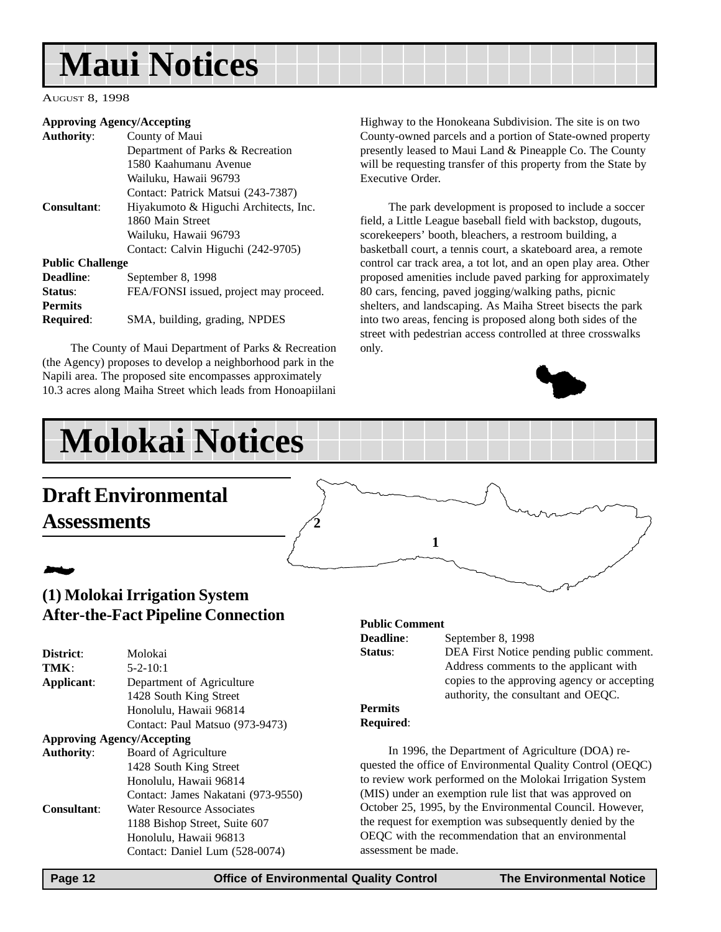## <span id="page-11-0"></span>**Maui Notices**

AUGUST 8, 1998

#### **Approving Agency/Accepting**

| <b>Authority:</b>       | County of Maui                         |
|-------------------------|----------------------------------------|
|                         | Department of Parks & Recreation       |
|                         | 1580 Kaahumanu Avenue                  |
|                         | Wailuku, Hawaii 96793                  |
|                         | Contact: Patrick Matsui (243-7387)     |
| Consultant:             | Hiyakumoto & Higuchi Architects, Inc.  |
|                         | 1860 Main Street                       |
|                         | Wailuku, Hawaii 96793                  |
|                         | Contact: Calvin Higuchi (242-9705)     |
| <b>Public Challenge</b> |                                        |
| Deadline:               | September 8, 1998                      |
| Status:                 | FEA/FONSI issued, project may proceed. |
| <b>Permits</b>          |                                        |
| <b>Required:</b>        | SMA, building, grading, NPDES          |

The County of Maui Department of Parks & Recreation (the Agency) proposes to develop a neighborhood park in the Napili area. The proposed site encompasses approximately 10.3 acres along Maiha Street which leads from Honoapiilani

Highway to the Honokeana Subdivision. The site is on two County-owned parcels and a portion of State-owned property presently leased to Maui Land & Pineapple Co. The County will be requesting transfer of this property from the State by Executive Order.

The park development is proposed to include a soccer field, a Little League baseball field with backstop, dugouts, scorekeepers' booth, bleachers, a restroom building, a basketball court, a tennis court, a skateboard area, a remote control car track area, a tot lot, and an open play area. Other proposed amenities include paved parking for approximately 80 cars, fencing, paved jogging/walking paths, picnic shelters, and landscaping. As Maiha Street bisects the park into two areas, fencing is proposed along both sides of the street with pedestrian access controlled at three crosswalks only.



## **Molokai Notices**

### **Draft Environmental Assessments**

## 2

### **(1) Molokai Irrigation System After-the-Fact Pipeline Connection**

| District:          | Molokai                            |
|--------------------|------------------------------------|
| TMK:               | $5 - 2 - 10:1$                     |
| Applicant:         | Department of Agriculture          |
|                    | 1428 South King Street             |
|                    | Honolulu, Hawaii 96814             |
|                    | Contact: Paul Matsuo (973-9473)    |
|                    | <b>Approving Agency/Accepting</b>  |
| <b>Authority:</b>  | Board of Agriculture               |
|                    | 1428 South King Street             |
|                    | Honolulu, Hawaii 96814             |
|                    | Contact: James Nakatani (973-9550) |
| <b>Consultant:</b> | Water Resource Associates          |
|                    | 1188 Bishop Street, Suite 607      |
|                    | Honolulu, Hawaii 96813             |
|                    | Contact: Daniel Lum (528-0074)     |
|                    |                                    |

#### **Public Comment**

**1**

**Deadline**: September 8, 1998 **Status:** DEA First Notice pending public comment. Address comments to the applicant with copies to the approving agency or accepting authority, the consultant and OEQC.

#### **Permits Required**:

In 1996, the Department of Agriculture (DOA) requested the office of Environmental Quality Control (OEQC) to review work performed on the Molokai Irrigation System (MIS) under an exemption rule list that was approved on October 25, 1995, by the Environmental Council. However, the request for exemption was subsequently denied by the OEQC with the recommendation that an environmental assessment be made.

**2**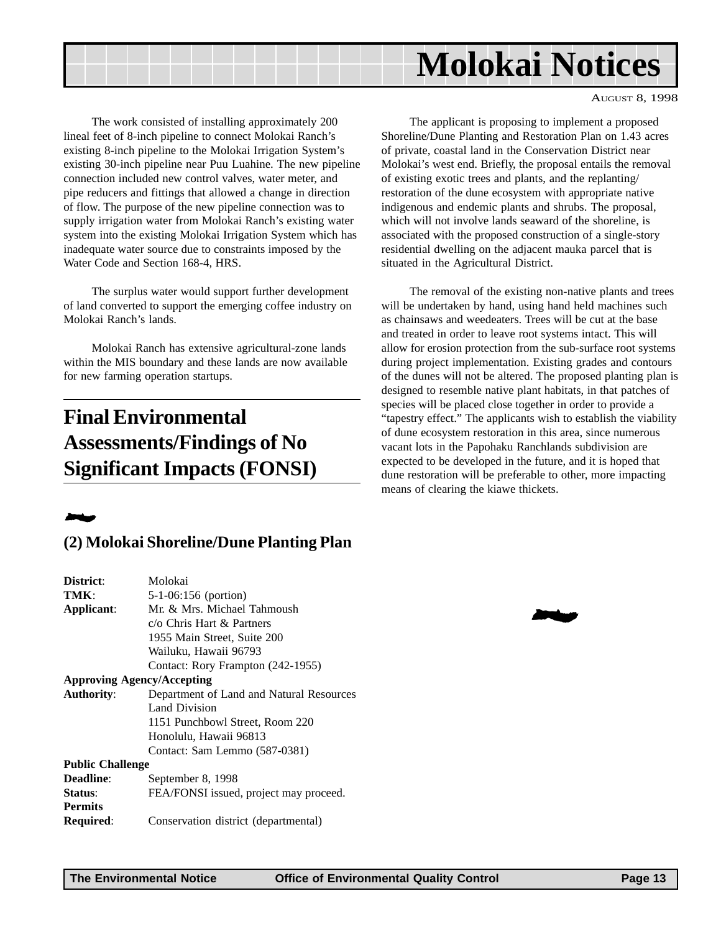<span id="page-12-0"></span>

AUGUST 8, 1998

The work consisted of installing approximately 200 lineal feet of 8-inch pipeline to connect Molokai Ranch's existing 8-inch pipeline to the Molokai Irrigation System's existing 30-inch pipeline near Puu Luahine. The new pipeline connection included new control valves, water meter, and pipe reducers and fittings that allowed a change in direction of flow. The purpose of the new pipeline connection was to supply irrigation water from Molokai Ranch's existing water system into the existing Molokai Irrigation System which has inadequate water source due to constraints imposed by the Water Code and Section 168-4, HRS.

The surplus water would support further development of land converted to support the emerging coffee industry on Molokai Ranch's lands.

Molokai Ranch has extensive agricultural-zone lands within the MIS boundary and these lands are now available for new farming operation startups.

### **Final Environmental Assessments/Findings of No Significant Impacts (FONSI)**

### 2

### **(2) Molokai Shoreline/Dune Planting Plan**

| District:                         | Molokai                                  |
|-----------------------------------|------------------------------------------|
| TMK:                              | $5-1-06:156$ (portion)                   |
| Applicant:                        | Mr. & Mrs. Michael Tahmoush              |
|                                   | c/o Chris Hart & Partners                |
|                                   | 1955 Main Street, Suite 200              |
|                                   | Wailuku, Hawaii 96793                    |
|                                   | Contact: Rory Frampton (242-1955)        |
| <b>Approving Agency/Accepting</b> |                                          |
| <b>Authority:</b>                 | Department of Land and Natural Resources |
|                                   | Land Division                            |
|                                   | 1151 Punchbowl Street, Room 220          |
|                                   | Honolulu, Hawaii 96813                   |
|                                   | Contact: Sam Lemmo (587-0381)            |
| <b>Public Challenge</b>           |                                          |
| <b>Deadline:</b>                  | September 8, 1998                        |
| Status:                           | FEA/FONSI issued, project may proceed.   |
| <b>Permits</b>                    |                                          |
| Required:                         | Conservation district (departmental)     |
|                                   |                                          |

The applicant is proposing to implement a proposed Shoreline/Dune Planting and Restoration Plan on 1.43 acres of private, coastal land in the Conservation District near Molokai's west end. Briefly, the proposal entails the removal of existing exotic trees and plants, and the replanting/ restoration of the dune ecosystem with appropriate native indigenous and endemic plants and shrubs. The proposal, which will not involve lands seaward of the shoreline, is associated with the proposed construction of a single-story residential dwelling on the adjacent mauka parcel that is situated in the Agricultural District.

The removal of the existing non-native plants and trees will be undertaken by hand, using hand held machines such as chainsaws and weedeaters. Trees will be cut at the base and treated in order to leave root systems intact. This will allow for erosion protection from the sub-surface root systems during project implementation. Existing grades and contours of the dunes will not be altered. The proposed planting plan is designed to resemble native plant habitats, in that patches of species will be placed close together in order to provide a "tapestry effect." The applicants wish to establish the viability of dune ecosystem restoration in this area, since numerous vacant lots in the Papohaku Ranchlands subdivision are expected to be developed in the future, and it is hoped that dune restoration will be preferable to other, more impacting means of clearing the kiawe thickets.

2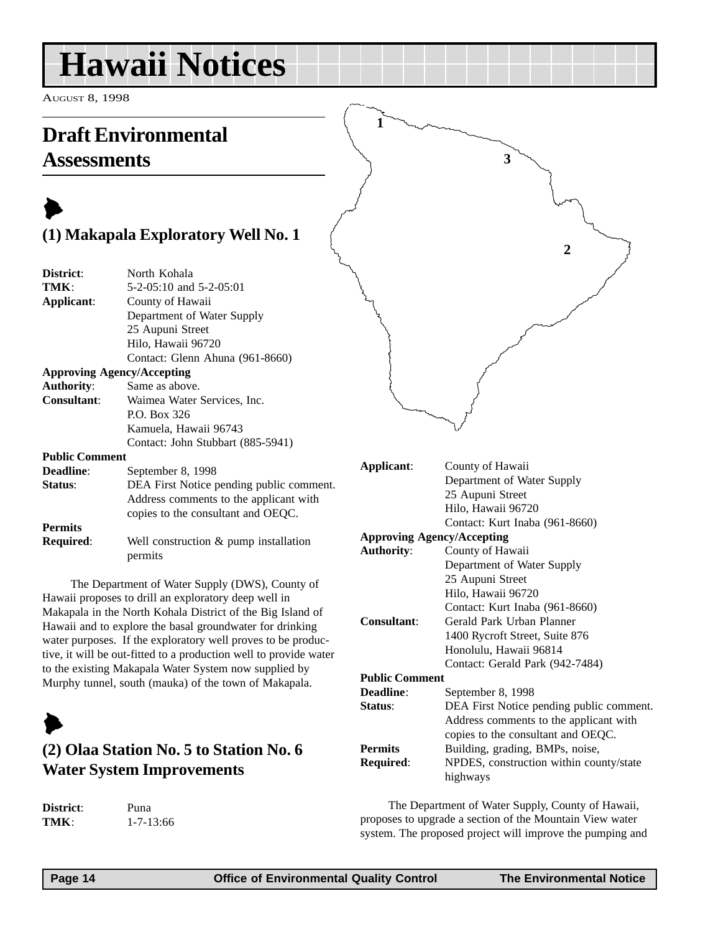## <span id="page-13-0"></span>**Hawaii Notices**

AUGUST 8, 1998

### **Draft Environmental Assessments**

### $\blacktriangleright$ **(1) Makapala Exploratory Well No. 1**

| District:             | North Kohala                             |
|-----------------------|------------------------------------------|
| TMK:                  | $5-2-05:10$ and $5-2-05:01$              |
| Applicant:            | County of Hawaii                         |
|                       | Department of Water Supply               |
|                       | 25 Aupuni Street                         |
|                       | Hilo, Hawaii 96720                       |
|                       | Contact: Glenn Ahuna (961-8660)          |
|                       | <b>Approving Agency/Accepting</b>        |
| <b>Authority:</b>     | Same as above.                           |
| <b>Consultant:</b>    | Waimea Water Services, Inc.              |
|                       | P.O. Box 326                             |
|                       | Kamuela, Hawaii 96743                    |
|                       | Contact: John Stubbart (885-5941)        |
| <b>Public Comment</b> |                                          |
| <b>Deadline:</b>      | September 8, 1998                        |
| <b>Status:</b>        | DEA First Notice pending public comment. |

#### Address comments to the applicant with copies to the consultant and OEQC. **Permits Required:** Well construction & pump installation permits

The Department of Water Supply (DWS), County of Hawaii proposes to drill an exploratory deep well in Makapala in the North Kohala District of the Big Island of Hawaii and to explore the basal groundwater for drinking water purposes. If the exploratory well proves to be productive, it will be out-fitted to a production well to provide water to the existing Makapala Water System now supplied by Murphy tunnel, south (mauka) of the town of Makapala.

## $\blacktriangleright$

### **(2) Olaa Station No. 5 to Station No. 6 Water System Improvements**

**District**: Puna

**TMK**: 1-7-13:66



| Applicant: | County of Hawaii                  |
|------------|-----------------------------------|
|            | Department of Water Supply        |
|            | 25 Aupuni Street                  |
|            | Hilo, Hawaii 96720                |
|            | Contact: Kurt Inaba (961-8660)    |
|            | <b>Approving Agency/Accepting</b> |

| <b>Authority:</b>     | County of Hawaii                         |
|-----------------------|------------------------------------------|
|                       | Department of Water Supply               |
|                       | 25 Aupuni Street                         |
|                       | Hilo, Hawaii 96720                       |
|                       | Contact: Kurt Inaba (961-8660)           |
| <b>Consultant:</b>    | Gerald Park Urban Planner                |
|                       | 1400 Rycroft Street, Suite 876           |
|                       | Honolulu, Hawaii 96814                   |
|                       | Contact: Gerald Park (942-7484)          |
| <b>Public Comment</b> |                                          |
| Deadline:             | September 8, 1998                        |
| <b>Status:</b>        | DEA First Notice pending public comment. |
|                       | Address comments to the applicant with   |
|                       | copies to the consultant and OEQC.       |
| <b>Permits</b>        | Building, grading, BMPs, noise,          |
| <b>Required:</b>      | NPDES, construction within county/state  |
|                       | highways                                 |

The Department of Water Supply, County of Hawaii, proposes to upgrade a section of the Mountain View water system. The proposed project will improve the pumping and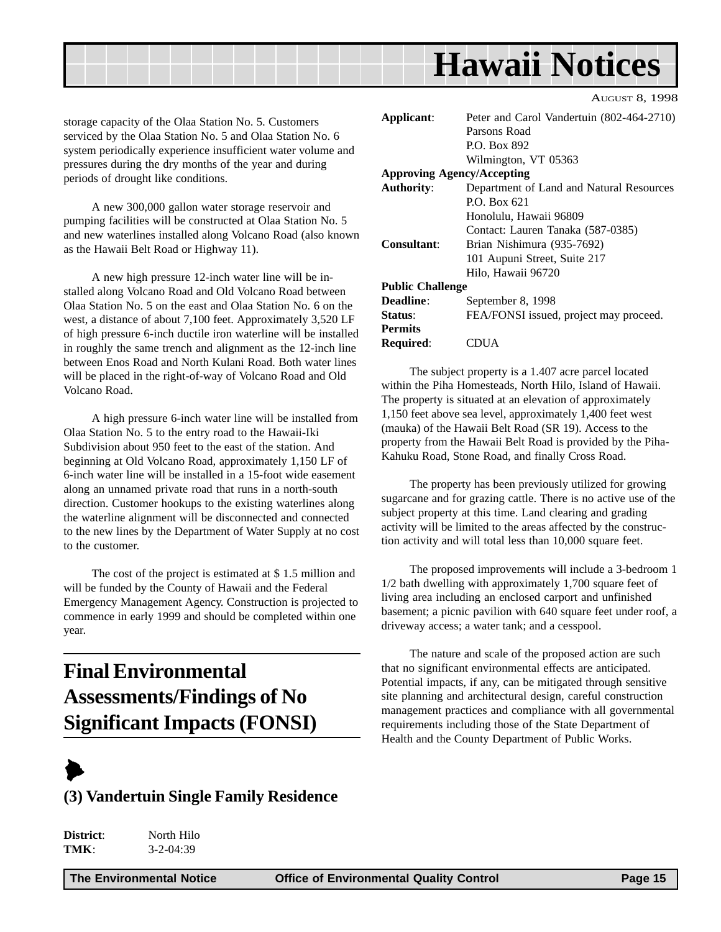<span id="page-14-0"></span>

storage capacity of the Olaa Station No. 5. Customers serviced by the Olaa Station No. 5 and Olaa Station No. 6 system periodically experience insufficient water volume and pressures during the dry months of the year and during periods of drought like conditions.

A new 300,000 gallon water storage reservoir and pumping facilities will be constructed at Olaa Station No. 5 and new waterlines installed along Volcano Road (also known as the Hawaii Belt Road or Highway 11).

A new high pressure 12-inch water line will be installed along Volcano Road and Old Volcano Road between Olaa Station No. 5 on the east and Olaa Station No. 6 on the west, a distance of about 7,100 feet. Approximately 3,520 LF of high pressure 6-inch ductile iron waterline will be installed in roughly the same trench and alignment as the 12-inch line between Enos Road and North Kulani Road. Both water lines will be placed in the right-of-way of Volcano Road and Old Volcano Road.

A high pressure 6-inch water line will be installed from Olaa Station No. 5 to the entry road to the Hawaii-Iki Subdivision about 950 feet to the east of the station. And beginning at Old Volcano Road, approximately 1,150 LF of 6-inch water line will be installed in a 15-foot wide easement along an unnamed private road that runs in a north-south direction. Customer hookups to the existing waterlines along the waterline alignment will be disconnected and connected to the new lines by the Department of Water Supply at no cost to the customer.

The cost of the project is estimated at \$ 1.5 million and will be funded by the County of Hawaii and the Federal Emergency Management Agency. Construction is projected to commence in early 1999 and should be completed within one year.

### **Final Environmental Assessments/Findings of No Significant Impacts (FONSI)**



### **(3) Vandertuin Single Family Residence**

| District: | North Hilo      |
|-----------|-----------------|
| TMK:      | $3 - 2 - 04:39$ |

| Applicant:              | Peter and Carol Vandertuin (802-464-2710) |
|-------------------------|-------------------------------------------|
|                         | Parsons Road                              |
|                         | P.O. Box 892                              |
|                         | Wilmington, VT 05363                      |
|                         | <b>Approving Agency/Accepting</b>         |
| <b>Authority:</b>       | Department of Land and Natural Resources  |
|                         | $P.$ $O.$ $Box 621$                       |
|                         | Honolulu, Hawaii 96809                    |
|                         | Contact: Lauren Tanaka (587-0385)         |
| Consultant:             | Brian Nishimura (935-7692)                |
|                         | 101 Aupuni Street, Suite 217              |
|                         | Hilo, Hawaii 96720                        |
| <b>Public Challenge</b> |                                           |
| Deadline:               | September 8, 1998                         |
| <b>Status:</b>          | FEA/FONSI issued, project may proceed.    |
| <b>Permits</b>          |                                           |
| <b>Required:</b>        | CDUA                                      |

AUGUST 8, 1998

The subject property is a 1.407 acre parcel located within the Piha Homesteads, North Hilo, Island of Hawaii. The property is situated at an elevation of approximately 1,150 feet above sea level, approximately 1,400 feet west (mauka) of the Hawaii Belt Road (SR 19). Access to the property from the Hawaii Belt Road is provided by the Piha-Kahuku Road, Stone Road, and finally Cross Road.

The property has been previously utilized for growing sugarcane and for grazing cattle. There is no active use of the subject property at this time. Land clearing and grading activity will be limited to the areas affected by the construction activity and will total less than 10,000 square feet.

The proposed improvements will include a 3-bedroom 1 1/2 bath dwelling with approximately 1,700 square feet of living area including an enclosed carport and unfinished basement; a picnic pavilion with 640 square feet under roof, a driveway access; a water tank; and a cesspool.

The nature and scale of the proposed action are such that no significant environmental effects are anticipated. Potential impacts, if any, can be mitigated through sensitive site planning and architectural design, careful construction management practices and compliance with all governmental requirements including those of the State Department of Health and the County Department of Public Works.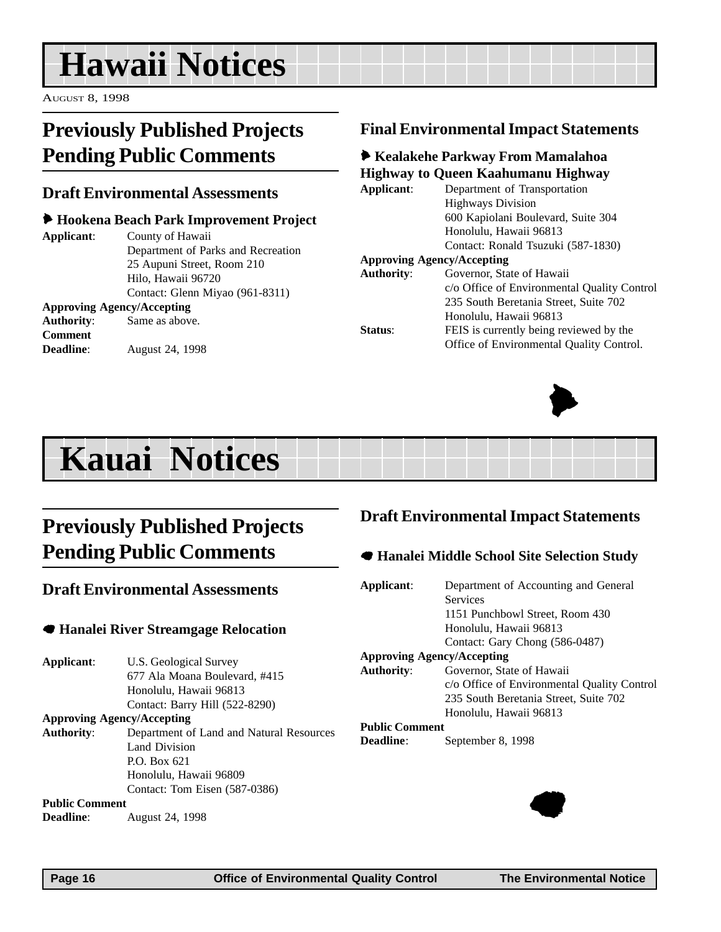## <span id="page-15-0"></span>**Hawaii Notices**

AUGUST 8, 1998

### **Previously Published Projects Pending Public Comments**

### **Draft Environmental Assessments**

### 6 **Hookena Beach Park Improvement Project**

**Applicant**: County of Hawaii Department of Parks and Recreation 25 Aupuni Street, Room 210 Hilo, Hawaii 96720 Contact: Glenn Miyao (961-8311)

#### **Approving Agency/Accepting Authority**: Same as above. **Comment Deadline**: August 24, 1998

### **Final Environmental Impact Statements**

### 6 **Kealakehe Parkway From Mamalahoa Highway to Queen Kaahumanu Highway**

| Applicant: | Department of Transportation                |
|------------|---------------------------------------------|
|            | <b>Highways Division</b>                    |
|            | 600 Kapiolani Boulevard, Suite 304          |
|            | Honolulu, Hawaii 96813                      |
|            | Contact: Ronald Tsuzuki (587-1830)          |
|            | <b>Approving Agency/Accepting</b>           |
| Authority: | Governor, State of Hawaii                   |
|            | c/o Office of Environmental Quality Control |
|            | 235 South Beretania Street, Suite 702       |
|            | Honolulu, Hawaii 96813                      |
| Status:    | FEIS is currently being reviewed by the     |
|            | Office of Environmental Quality Control.    |



## **Kauai Notices**

### **Previously Published Projects Pending Public Comments**

### **Draft Environmental Assessments**

### 7 **Hanalei River Streamgage Relocation**

**Applicant**: U.S. Geological Survey 677 Ala Moana Boulevard, #415 Honolulu, Hawaii 96813 Contact: Barry Hill (522-8290)

**Approving Agency/Accepting**

**Authority**: Department of Land and Natural Resources Land Division P.O. Box 621 Honolulu, Hawaii 96809 Contact: Tom Eisen (587-0386)

#### **Public Comment**

**Deadline**: August 24, 1998

### **Draft Environmental Impact Statements**

### 7 **Hanalei Middle School Site Selection Study**

| Applicant:            | Department of Accounting and General        |
|-----------------------|---------------------------------------------|
|                       | <b>Services</b>                             |
|                       | 1151 Punchbowl Street, Room 430             |
|                       | Honolulu, Hawaii 96813                      |
|                       | Contact: Gary Chong (586-0487)              |
|                       | <b>Approving Agency/Accepting</b>           |
| Authority:            | Governor, State of Hawaii                   |
|                       | c/o Office of Environmental Quality Control |
|                       | 235 South Beretania Street, Suite 702       |
|                       | Honolulu, Hawaii 96813                      |
| <b>Public Comment</b> |                                             |
| <b>Deadline:</b>      | September 8, 1998                           |
|                       |                                             |

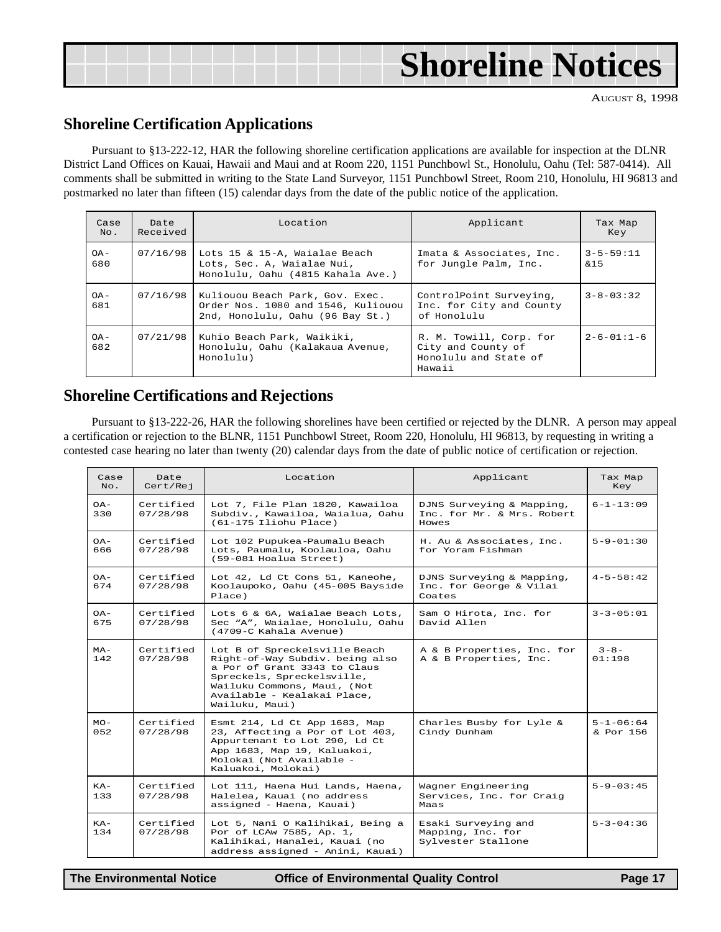<span id="page-16-0"></span>

|  | <b>Shoreline Notices</b> |
|--|--------------------------|
|--|--------------------------|

AUGUST 8, 1998

### **Shoreline Certification Applications**

Pursuant to §13-222-12, HAR the following shoreline certification applications are available for inspection at the DLNR District Land Offices on Kauai, Hawaii and Maui and at Room 220, 1151 Punchbowl St., Honolulu, Oahu (Tel: 587-0414). All comments shall be submitted in writing to the State Land Surveyor, 1151 Punchbowl Street, Room 210, Honolulu, HI 96813 and postmarked no later than fifteen (15) calendar days from the date of the public notice of the application.

| Case<br>No.   | Date<br>Received | Location                                                                                                  | Applicant                                                                        | Tax Map<br>Key         |
|---------------|------------------|-----------------------------------------------------------------------------------------------------------|----------------------------------------------------------------------------------|------------------------|
| $OA -$<br>680 | 07/16/98         | Lots 15 & 15-A, Waialae Beach<br>Lots, Sec. A, Waialae Nui,<br>Honolulu, Oahu (4815 Kahala Ave.)          | Imata & Associates, Inc.<br>for Jungle Palm, Inc.                                | $3 - 5 - 59:11$<br>&15 |
| $OA -$<br>681 | 07/16/98         | Kuliouou Beach Park, Gov. Exec.<br>Order Nos. 1080 and 1546, Kuliouou<br>2nd, Honolulu, Oahu (96 Bay St.) | ControlPoint Surveying,<br>Inc. for City and County<br>of Honolulu               | $3 - 8 - 03:32$        |
| $OA -$<br>682 | 07/21/98         | Kuhio Beach Park, Waikiki,<br>Honolulu, Oahu (Kalakaua Avenue,<br>Honolulu)                               | R. M. Towill, Corp. for<br>City and County of<br>Honolulu and State of<br>Hawaii | $2 - 6 - 01:1 - 6$     |

### **Shoreline Certifications and Rejections**

Pursuant to §13-222-26, HAR the following shorelines have been certified or rejected by the DLNR. A person may appeal a certification or rejection to the BLNR, 1151 Punchbowl Street, Room 220, Honolulu, HI 96813, by requesting in writing a contested case hearing no later than twenty (20) calendar days from the date of public notice of certification or rejection.

| Case<br>No.   | Date<br>Cert/Rej      | Location                                                                                                                                                                                                       | Applicant                                                        | Tax Map<br>Key                 |
|---------------|-----------------------|----------------------------------------------------------------------------------------------------------------------------------------------------------------------------------------------------------------|------------------------------------------------------------------|--------------------------------|
| $OA-$<br>330  | Certified<br>07/28/98 | Lot 7, File Plan 1820, Kawailoa<br>Subdiv., Kawailoa, Waialua, Oahu<br>$(61-175$ Iliohu Place)                                                                                                                 | DJNS Surveying & Mapping,<br>Inc. for Mr. & Mrs. Robert<br>Howes | $6 - 1 - 13:09$                |
| $OA-$<br>666  | Certified<br>07/28/98 | Lot 102 Pupukea-Paumalu Beach<br>Lots, Paumalu, Koolauloa, Oahu<br>(59-081 Hoalua Street)                                                                                                                      | H. Au & Associates, Inc.<br>for Yoram Fishman                    | $5 - 9 - 01:30$                |
| $OA -$<br>674 | Certified<br>07/28/98 | Lot 42, Ld Ct Cons 51, Kaneohe,<br>Koolaupoko, Oahu (45-005 Bayside<br>Place)                                                                                                                                  | DJNS Surveying & Mapping,<br>Inc. for George & Vilai<br>Coates   | $4 - 5 - 58 : 42$              |
| $OA-$<br>675  | Certified<br>07/28/98 | Lots 6 & 6A, Waialae Beach Lots,<br>Sec "A", Waialae, Honolulu, Oahu<br>(4709-C Kahala Avenue)                                                                                                                 | Sam O Hirota, Inc. for<br>David Allen                            | $3 - 3 - 05:01$                |
| $MA-$<br>142  | Certified<br>07/28/98 | Lot B of Spreckelsville Beach<br>Right-of-Way Subdiv. being also<br>a Por of Grant 3343 to Claus<br>Spreckels, Spreckelsville,<br>Wailuku Commons, Maui, (Not<br>Available - Kealakai Place,<br>Wailuku, Maui) | A & B Properties, Inc. for<br>A & B Properties, Inc.             | $3 - 8 -$<br>01:198            |
| $MO-$<br>052  | Certified<br>07/28/98 | Esmt 214, Ld Ct App 1683, Map<br>23, Affecting a Por of Lot 403,<br>Appurtenant to Lot 290, Ld Ct<br>App 1683, Map 19, Kaluakoi,<br>Molokai (Not Available -<br>Kaluakoi, Molokai)                             | Charles Busby for Lyle &<br>Cindy Dunham                         | $5 - 1 - 06 : 64$<br>& Por 156 |
| $KA-$<br>133  | Certified<br>07/28/98 | Lot 111, Haena Hui Lands, Haena,<br>Halelea, Kauai (no address<br>assigned - Haena, Kauai)                                                                                                                     | Wagner Engineering<br>Services, Inc. for Craig<br>Maas           | $5 - 9 - 03 : 45$              |
| $KA-$<br>134  | Certified<br>07/28/98 | Lot 5, Nani O Kalihikai, Being a<br>Por of LCAw 7585, Ap. 1,<br>Kalihikai, Hanalei, Kauai (no<br>address assigned - Anini, Kauai)                                                                              | Esaki Surveying and<br>Mapping, Inc. for<br>Sylvester Stallone   | $5 - 3 - 04 : 36$              |

**The Environmental Notice Office of Environmental Quality Control Page 17**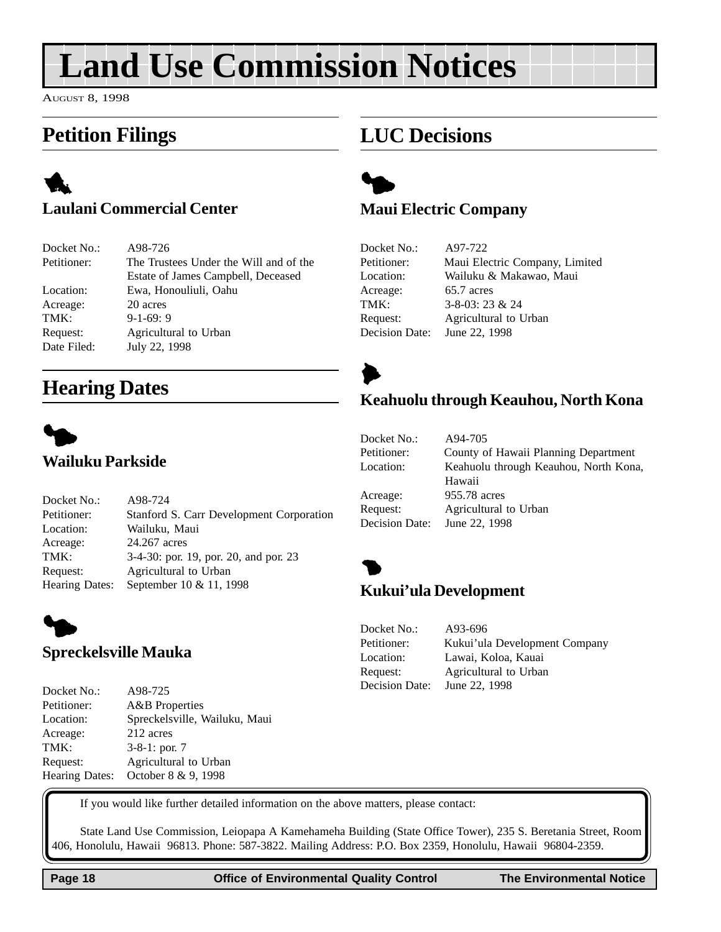## <span id="page-17-0"></span>**Land Use Commission Notices**

AUGUST 8, 1998

### **Petition Filings**

### 1 **Laulani Commercial Center**

| Docket No.: | A98-726                                |
|-------------|----------------------------------------|
| Petitioner: | The Trustees Under the Will and of the |
|             | Estate of James Campbell, Deceased     |
| Location:   | Ewa, Honouliuli, Oahu                  |
| Acreage:    | 20 acres                               |
| TMK:        | $9-1-69:9$                             |
| Request:    | Agricultural to Urban                  |
| Date Filed: | July 22, 1998                          |

Petitioner: Stanford S. Carr Development Corporation

TMK: 3-4-30: por. 19, por. 20, and por. 23

### **Hearing Dates**





### **Maui Electric Company**

Docket No.: A97-722 Petitioner: Maui Electric Company, Limited Location: Wailuku & Makawao, Maui Acreage: 65.7 acres TMK: 3-8-03: 23 & 24 Request: Agricultural to Urban Decision Date: June 22, 1998



### **Keahuolu through Keauhou, North Kona**



Docket No.: A98-724

Location: Wailuku, Maui Acreage: 24.267 acres

Request: Agricultural to Urban Hearing Dates: September 10 & 11, 1998

| Docket No.:    | A94-705                               |
|----------------|---------------------------------------|
| Petitioner:    | County of Hawaii Planning Department  |
| Location:      | Keahuolu through Keauhou, North Kona, |
|                | Hawaii                                |
| Acreage:       | 955.78 acres                          |
| Request:       | Agricultural to Urban                 |
| Decision Date: | June 22, 1998                         |



### **Kukui'ula Development**



### **Spreckelsville Mauka**

Docket No.: A98-725 Petitioner: A&B Properties Location: Spreckelsville, Wailuku, Maui Acreage: 212 acres TMK: 3-8-1: por. 7 Request: Agricultural to Urban Hearing Dates: October 8 & 9, 1998



If you would like further detailed information on the above matters, please contact:

State Land Use Commission, Leiopapa A Kamehameha Building (State Office Tower), 235 S. Beretania Street, Room 406, Honolulu, Hawaii 96813. Phone: 587-3822. Mailing Address: P.O. Box 2359, Honolulu, Hawaii 96804-2359.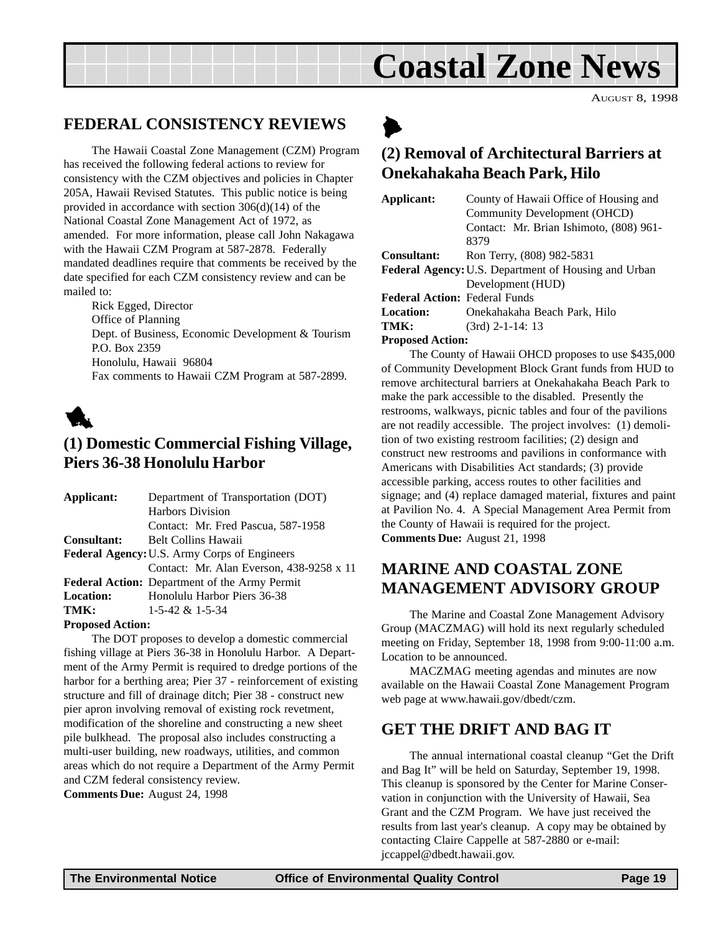## **Coastal Zone News**

AUGUST 8, 1998

### <span id="page-18-0"></span>**FEDERAL CONSISTENCY REVIEWS**

The Hawaii Coastal Zone Management (CZM) Program has received the following federal actions to review for consistency with the CZM objectives and policies in Chapter 205A, Hawaii Revised Statutes. This public notice is being provided in accordance with section 306(d)(14) of the National Coastal Zone Management Act of 1972, as amended. For more information, please call John Nakagawa with the Hawaii CZM Program at 587-2878. Federally mandated deadlines require that comments be received by the date specified for each CZM consistency review and can be mailed to:

Rick Egged, Director Office of Planning Dept. of Business, Economic Development & Tourism P.O. Box 2359 Honolulu, Hawaii 96804 Fax comments to Hawaii CZM Program at 587-2899.



### **(1) Domestic Commercial Fishing Village, Piers 36-38 Honolulu Harbor**

| Applicant:                                   | Department of Transportation (DOT)                   |  |
|----------------------------------------------|------------------------------------------------------|--|
|                                              | <b>Harbors Division</b>                              |  |
|                                              | Contact: Mr. Fred Pascua, 587-1958                   |  |
| <b>Consultant:</b>                           | <b>Belt Collins Hawaii</b>                           |  |
| Federal Agency: U.S. Army Corps of Engineers |                                                      |  |
|                                              | Contact: Mr. Alan Everson, 438-9258 x 11             |  |
|                                              | <b>Federal Action:</b> Department of the Army Permit |  |
| <b>Location:</b>                             | Honolulu Harbor Piers 36-38                          |  |
| TMK:                                         | $1-5-42 \& 1-5-34$                                   |  |
|                                              |                                                      |  |

#### **Proposed Action:**

The DOT proposes to develop a domestic commercial fishing village at Piers 36-38 in Honolulu Harbor. A Department of the Army Permit is required to dredge portions of the harbor for a berthing area; Pier 37 - reinforcement of existing structure and fill of drainage ditch; Pier 38 - construct new pier apron involving removal of existing rock revetment, modification of the shoreline and constructing a new sheet pile bulkhead. The proposal also includes constructing a multi-user building, new roadways, utilities, and common areas which do not require a Department of the Army Permit and CZM federal consistency review.

**Comments Due:** August 24, 1998



### **(2) Removal of Architectural Barriers at Onekahakaha Beach Park, Hilo**

| Applicant:                           | County of Hawaii Office of Housing and               |
|--------------------------------------|------------------------------------------------------|
|                                      | Community Development (OHCD)                         |
|                                      | Contact: Mr. Brian Ishimoto, (808) 961-              |
|                                      | 8379                                                 |
| <b>Consultant:</b>                   | Ron Terry, (808) 982-5831                            |
|                                      | Federal Agency: U.S. Department of Housing and Urban |
|                                      | Development (HUD)                                    |
| <b>Federal Action: Federal Funds</b> |                                                      |
| <b>Location:</b>                     | Onekahakaha Beach Park, Hilo                         |
| TMK:                                 | $(3rd)$ 2-1-14: 13                                   |
| Droposod Astion                      |                                                      |

#### **Proposed Action:**

The County of Hawaii OHCD proposes to use \$435,000 of Community Development Block Grant funds from HUD to remove architectural barriers at Onekahakaha Beach Park to make the park accessible to the disabled. Presently the restrooms, walkways, picnic tables and four of the pavilions are not readily accessible. The project involves: (1) demolition of two existing restroom facilities; (2) design and construct new restrooms and pavilions in conformance with Americans with Disabilities Act standards; (3) provide accessible parking, access routes to other facilities and signage; and (4) replace damaged material, fixtures and paint at Pavilion No. 4. A Special Management Area Permit from the County of Hawaii is required for the project. **Comments Due:** August 21, 1998

### **MARINE AND COASTAL ZONE MANAGEMENT ADVISORY GROUP**

The Marine and Coastal Zone Management Advisory Group (MACZMAG) will hold its next regularly scheduled meeting on Friday, September 18, 1998 from 9:00-11:00 a.m. Location to be announced.

MACZMAG meeting agendas and minutes are now available on the Hawaii Coastal Zone Management Program web page at www.hawaii.gov/dbedt/czm.

### **GET THE DRIFT AND BAG IT**

The annual international coastal cleanup "Get the Drift and Bag It" will be held on Saturday, September 19, 1998. This cleanup is sponsored by the Center for Marine Conservation in conjunction with the University of Hawaii, Sea Grant and the CZM Program. We have just received the results from last year's cleanup. A copy may be obtained by contacting Claire Cappelle at 587-2880 or e-mail: jccappel@dbedt.hawaii.gov.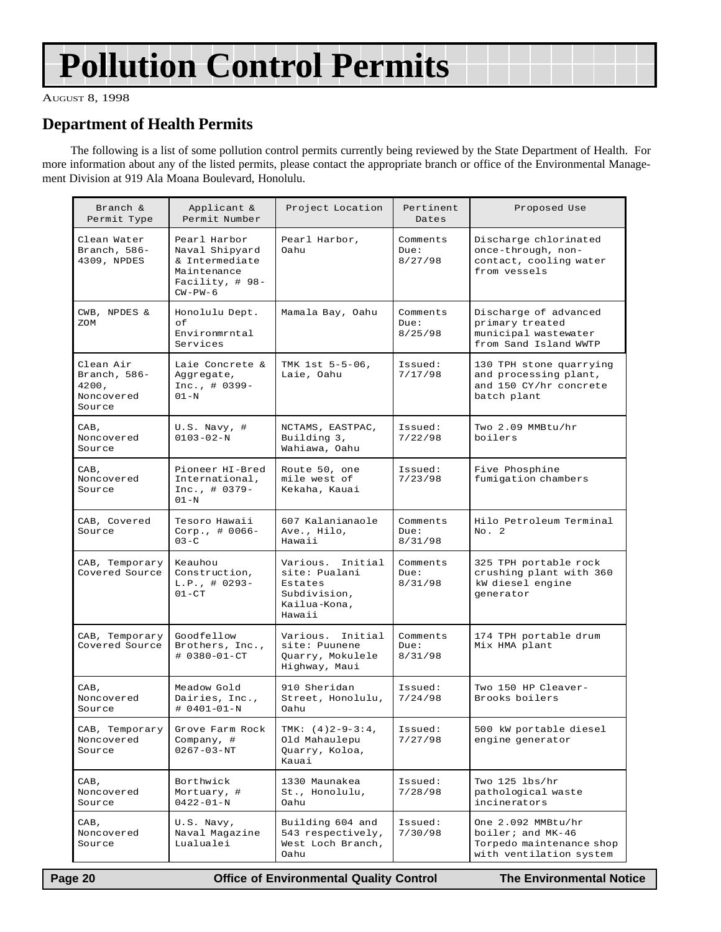## <span id="page-19-0"></span>**Pollution Control Permits**

AUGUST 8, 1998

### **Department of Health Permits**

The following is a list of some pollution control permits currently being reviewed by the State Department of Health. For more information about any of the listed permits, please contact the appropriate branch or office of the Environmental Management Division at 919 Ala Moana Boulevard, Honolulu.

| Branch &<br>Permit Type                                      | Applicant &<br>Permit Number                                                                       | Project Location                                                                       | Pertinent<br>Dates          | Proposed Use                                                                                   |
|--------------------------------------------------------------|----------------------------------------------------------------------------------------------------|----------------------------------------------------------------------------------------|-----------------------------|------------------------------------------------------------------------------------------------|
| Clean Water<br>Branch, 586-<br>4309, NPDES                   | Pearl Harbor<br>Naval Shipyard<br>& Intermediate<br>Maintenance<br>Facility, $\#$ 98-<br>$CW-PW-6$ | Pearl Harbor,<br>Oahu                                                                  | Comments<br>Due:<br>8/27/98 | Discharge chlorinated<br>once-through, non-<br>contact, cooling water<br>from vessels          |
| CWB, NPDES &<br>ZOM                                          | Honolulu Dept.<br>оf<br>Environmrntal<br>Services                                                  | Mamala Bay, Oahu                                                                       | Comments<br>Due:<br>8/25/98 | Discharge of advanced<br>primary treated<br>municipal wastewater<br>from Sand Island WWTP      |
| Clean Air<br>Branch, $586-$<br>4200,<br>Noncovered<br>Source | Laie Concrete &<br>Aggregate,<br>$Inc., # 0399-$<br>$01-N$                                         | TMK 1st 5-5-06,<br>Laie, Oahu                                                          | Issued:<br>7/17/98          | 130 TPH stone quarrying<br>and processing plant,<br>and 150 CY/hr concrete<br>batch plant      |
| CAB,<br>Noncovered<br>Source                                 | $U.S.$ Navy, #<br>$0103 - 02 - N$                                                                  | NCTAMS, EASTPAC,<br>Building 3,<br>Wahiawa, Oahu                                       | Issued:<br>7/22/98          | Two 2.09 MMBtu/hr<br>boilers                                                                   |
| CAB,<br>Noncovered<br>Source                                 | Pioneer HI-Bred<br>International,<br>$Inc., # 0379-$<br>$01-N$                                     | Route 50, one<br>mile west of<br>Kekaha, Kauai                                         | Issued:<br>7/23/98          | Five Phosphine<br>fumigation chambers                                                          |
| CAB, Covered<br>Source                                       | Tesoro Hawaii<br>Corp., $\# 0066 -$<br>$03-C$                                                      | 607 Kalanianaole<br>Ave., Hilo,<br>Hawaii                                              | Comments<br>Due:<br>8/31/98 | Hilo Petroleum Terminal<br>No. 2                                                               |
| CAB, Temporary<br>Covered Source                             | Keauhou<br>Construction,<br>$L.P.$ , # 0293-<br>$01 - CT$                                          | Various. Initial<br>site: Pualani<br>Estates<br>Subdivision,<br>Kailua-Kona,<br>Hawaii | Comments<br>Due:<br>8/31/98 | 325 TPH portable rock<br>crushing plant with 360<br>kW diesel engine<br>qenerator              |
| CAB, Temporary<br>Covered Source                             | Goodfellow<br>Brothers, Inc.,<br># 0380-01-CT                                                      | Various. Initial<br>site: Puunene<br>Quarry, Mokulele<br>Highway, Maui                 | Comments<br>Due:<br>8/31/98 | 174 TPH portable drum<br>Mix HMA plant                                                         |
| CAB,<br>Noncovered<br>Source                                 | Meadow Gold<br>Dairies, Inc.,<br># 0401-01-N                                                       | 910 Sheridan<br>Street, Honolulu,<br>Oahu                                              | Issued:<br>7/24/98          | Two 150 HP Cleaver-<br>Brooks boilers                                                          |
| CAB, Temporary<br>Noncovered<br>Source                       | Grove Farm Rock<br>Company, #<br>$0267 - 03 - NT$                                                  | TMK: $(4)2-9-3:4$ ,<br>Old Mahaulepu<br>Quarry, Koloa,<br>Kauai                        | Issued:<br>7/27/98          | 500 kW portable diesel<br>engine generator                                                     |
| CAB,<br>Noncovered<br>Source                                 | Borthwick<br>Mortuary, #<br>$0422 - 01 - N$                                                        | 1330 Maunakea<br>St., Honolulu,<br>Oahu                                                | Issued:<br>7/28/98          | Two 125 lbs/hr<br>pathological waste<br>incinerators                                           |
| CAB,<br>Noncovered<br>Source                                 | U.S. Navy,<br>Naval Magazine<br>Lualualei                                                          | Building 604 and<br>543 respectively,<br>West Loch Branch,<br>Oahu                     | Issued:<br>7/30/98          | One 2.092 MMBtu/hr<br>boiler; and MK-46<br>Torpedo maintenance shop<br>with ventilation system |

 **Page 20 Office of Environmental Quality Control The Environmental Notice**